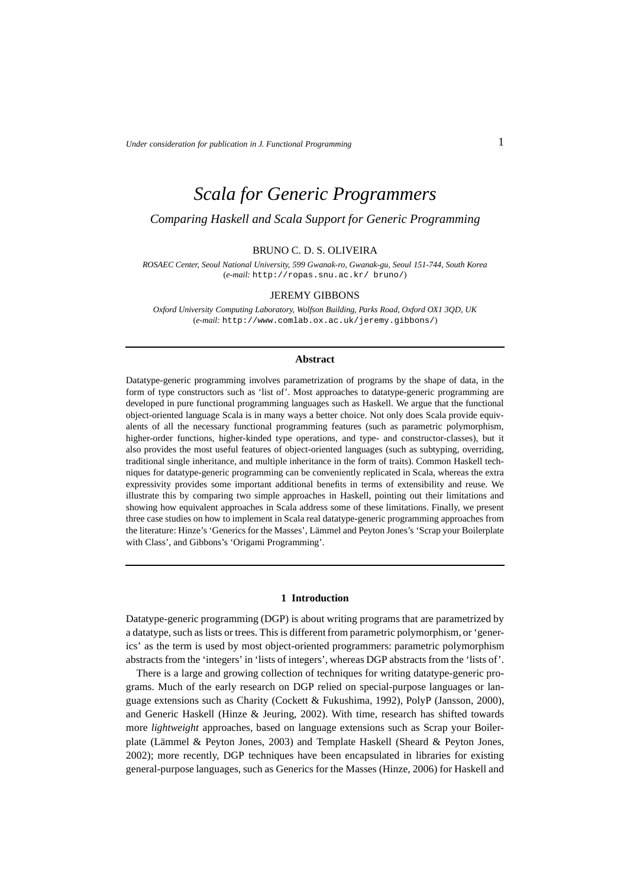*Under consideration for publication in J. Functional Programming*  $1$ 

# *Scala for Generic Programmers*

# *Comparing Haskell and Scala Support for Generic Programming*

# BRUNO C. D. S. OLIVEIRA

*ROSAEC Center, Seoul National University, 599 Gwanak-ro, Gwanak-gu, Seoul 151-744, South Korea* (*e-mail:* http://ropas.snu.ac.kr/ bruno/)

#### JEREMY GIBBONS

*Oxford University Computing Laboratory, Wolfson Building, Parks Road, Oxford OX1 3QD, UK* (*e-mail:* http://www.comlab.ox.ac.uk/jeremy.gibbons/)

#### **Abstract**

Datatype-generic programming involves parametrization of programs by the shape of data, in the form of type constructors such as 'list of'. Most approaches to datatype-generic programming are developed in pure functional programming languages such as Haskell. We argue that the functional object-oriented language Scala is in many ways a better choice. Not only does Scala provide equivalents of all the necessary functional programming features (such as parametric polymorphism, higher-order functions, higher-kinded type operations, and type- and constructor-classes), but it also provides the most useful features of object-oriented languages (such as subtyping, overriding, traditional single inheritance, and multiple inheritance in the form of traits). Common Haskell techniques for datatype-generic programming can be conveniently replicated in Scala, whereas the extra expressivity provides some important additional benefits in terms of extensibility and reuse. We illustrate this by comparing two simple approaches in Haskell, pointing out their limitations and showing how equivalent approaches in Scala address some of these limitations. Finally, we present three case studies on how to implement in Scala real datatype-generic programming approaches from the literature: Hinze's 'Generics for the Masses', Lämmel and Peyton Jones's 'Scrap your Boilerplate with Class', and Gibbons's 'Origami Programming'.

# **1 Introduction**

Datatype-generic programming (DGP) is about writing programs that are parametrized by a datatype, such as lists or trees. This is different from parametric polymorphism, or 'generics' as the term is used by most object-oriented programmers: parametric polymorphism abstracts from the 'integers' in 'lists of integers', whereas DGP abstracts from the 'lists of'.

There is a large and growing collection of techniques for writing datatype-generic programs. Much of the early research on DGP relied on special-purpose languages or language extensions such as Charity (Cockett & Fukushima, 1992), PolyP (Jansson, 2000), and Generic Haskell (Hinze & Jeuring, 2002). With time, research has shifted towards more *lightweight* approaches, based on language extensions such as Scrap your Boilerplate (Lämmel  $&$  Peyton Jones, 2003) and Template Haskell (Sheard  $&$  Peyton Jones, 2002); more recently, DGP techniques have been encapsulated in libraries for existing general-purpose languages, such as Generics for the Masses (Hinze, 2006) for Haskell and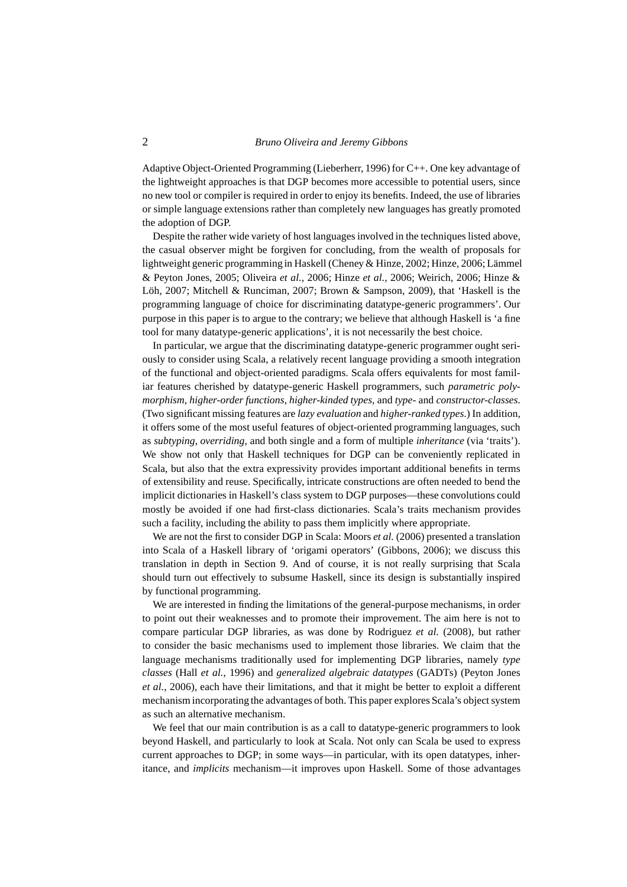Adaptive Object-Oriented Programming (Lieberherr, 1996) for C++. One key advantage of the lightweight approaches is that DGP becomes more accessible to potential users, since no new tool or compiler is required in order to enjoy its benefits. Indeed, the use of libraries or simple language extensions rather than completely new languages has greatly promoted the adoption of DGP.

Despite the rather wide variety of host languages involved in the techniques listed above, the casual observer might be forgiven for concluding, from the wealth of proposals for lightweight generic programming in Haskell (Cheney & Hinze, 2002; Hinze, 2006; Lämmel & Peyton Jones, 2005; Oliveira *et al.*, 2006; Hinze *et al.*, 2006; Weirich, 2006; Hinze & Löh, 2007; Mitchell & Runciman, 2007; Brown & Sampson, 2009), that 'Haskell is the programming language of choice for discriminating datatype-generic programmers'. Our purpose in this paper is to argue to the contrary; we believe that although Haskell is 'a fine tool for many datatype-generic applications', it is not necessarily the best choice.

In particular, we argue that the discriminating datatype-generic programmer ought seriously to consider using Scala, a relatively recent language providing a smooth integration of the functional and object-oriented paradigms. Scala offers equivalents for most familiar features cherished by datatype-generic Haskell programmers, such *parametric polymorphism*, *higher-order functions*, *higher-kinded types*, and *type-* and *constructor-classes*. (Two significant missing features are *lazy evaluation* and *higher-ranked types*.) In addition, it offers some of the most useful features of object-oriented programming languages, such as *subtyping*, *overriding*, and both single and a form of multiple *inheritance* (via 'traits'). We show not only that Haskell techniques for DGP can be conveniently replicated in Scala, but also that the extra expressivity provides important additional benefits in terms of extensibility and reuse. Specifically, intricate constructions are often needed to bend the implicit dictionaries in Haskell's class system to DGP purposes—these convolutions could mostly be avoided if one had first-class dictionaries. Scala's traits mechanism provides such a facility, including the ability to pass them implicitly where appropriate.

We are not the first to consider DGP in Scala: Moors *et al.* (2006) presented a translation into Scala of a Haskell library of 'origami operators' (Gibbons, 2006); we discuss this translation in depth in Section 9. And of course, it is not really surprising that Scala should turn out effectively to subsume Haskell, since its design is substantially inspired by functional programming.

We are interested in finding the limitations of the general-purpose mechanisms, in order to point out their weaknesses and to promote their improvement. The aim here is not to compare particular DGP libraries, as was done by Rodriguez *et al.* (2008), but rather to consider the basic mechanisms used to implement those libraries. We claim that the language mechanisms traditionally used for implementing DGP libraries, namely *type classes* (Hall *et al.*, 1996) and *generalized algebraic datatypes* (GADTs) (Peyton Jones *et al.*, 2006), each have their limitations, and that it might be better to exploit a different mechanism incorporating the advantages of both. This paper explores Scala's object system as such an alternative mechanism.

We feel that our main contribution is as a call to datatype-generic programmers to look beyond Haskell, and particularly to look at Scala. Not only can Scala be used to express current approaches to DGP; in some ways—in particular, with its open datatypes, inheritance, and *implicits* mechanism—it improves upon Haskell. Some of those advantages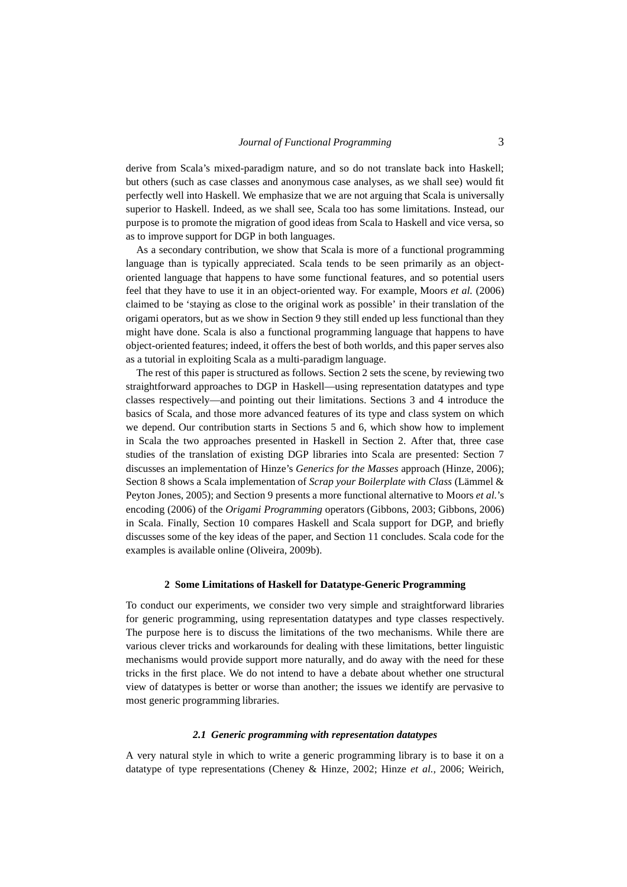derive from Scala's mixed-paradigm nature, and so do not translate back into Haskell; but others (such as case classes and anonymous case analyses, as we shall see) would fit perfectly well into Haskell. We emphasize that we are not arguing that Scala is universally superior to Haskell. Indeed, as we shall see, Scala too has some limitations. Instead, our purpose is to promote the migration of good ideas from Scala to Haskell and vice versa, so as to improve support for DGP in both languages.

As a secondary contribution, we show that Scala is more of a functional programming language than is typically appreciated. Scala tends to be seen primarily as an objectoriented language that happens to have some functional features, and so potential users feel that they have to use it in an object-oriented way. For example, Moors *et al.* (2006) claimed to be 'staying as close to the original work as possible' in their translation of the origami operators, but as we show in Section 9 they still ended up less functional than they might have done. Scala is also a functional programming language that happens to have object-oriented features; indeed, it offers the best of both worlds, and this paper serves also as a tutorial in exploiting Scala as a multi-paradigm language.

The rest of this paper is structured as follows. Section 2 sets the scene, by reviewing two straightforward approaches to DGP in Haskell—using representation datatypes and type classes respectively—and pointing out their limitations. Sections 3 and 4 introduce the basics of Scala, and those more advanced features of its type and class system on which we depend. Our contribution starts in Sections 5 and 6, which show how to implement in Scala the two approaches presented in Haskell in Section 2. After that, three case studies of the translation of existing DGP libraries into Scala are presented: Section 7 discusses an implementation of Hinze's *Generics for the Masses* approach (Hinze, 2006); Section 8 shows a Scala implementation of *Scrap your Boilerplate with Class* (Lämmel & Peyton Jones, 2005); and Section 9 presents a more functional alternative to Moors *et al.*'s encoding (2006) of the *Origami Programming* operators (Gibbons, 2003; Gibbons, 2006) in Scala. Finally, Section 10 compares Haskell and Scala support for DGP, and briefly discusses some of the key ideas of the paper, and Section 11 concludes. Scala code for the examples is available online (Oliveira, 2009b).

# **2 Some Limitations of Haskell for Datatype-Generic Programming**

To conduct our experiments, we consider two very simple and straightforward libraries for generic programming, using representation datatypes and type classes respectively. The purpose here is to discuss the limitations of the two mechanisms. While there are various clever tricks and workarounds for dealing with these limitations, better linguistic mechanisms would provide support more naturally, and do away with the need for these tricks in the first place. We do not intend to have a debate about whether one structural view of datatypes is better or worse than another; the issues we identify are pervasive to most generic programming libraries.

#### *2.1 Generic programming with representation datatypes*

A very natural style in which to write a generic programming library is to base it on a datatype of type representations (Cheney & Hinze, 2002; Hinze *et al.*, 2006; Weirich,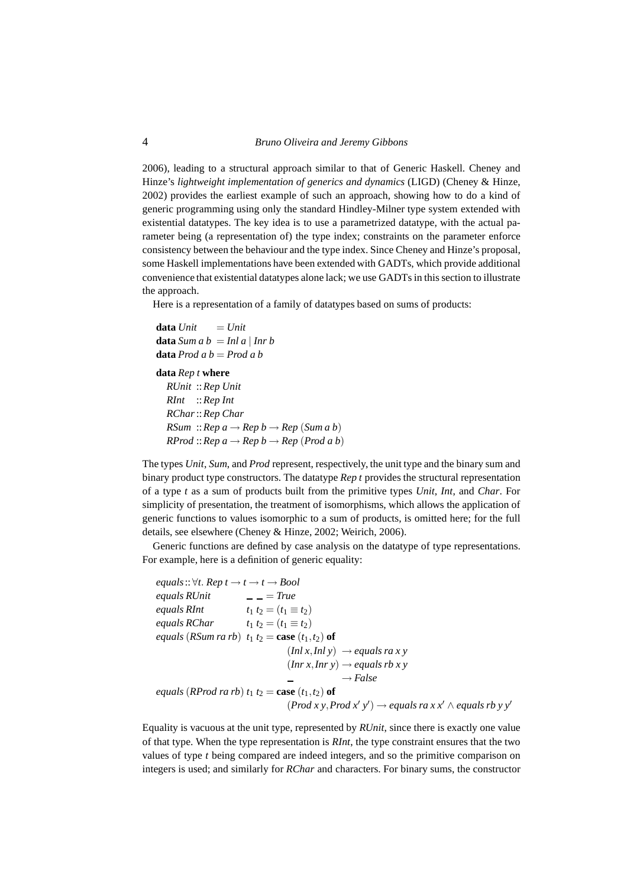2006), leading to a structural approach similar to that of Generic Haskell. Cheney and Hinze's *lightweight implementation of generics and dynamics* (LIGD) (Cheney & Hinze, 2002) provides the earliest example of such an approach, showing how to do a kind of generic programming using only the standard Hindley-Milner type system extended with existential datatypes. The key idea is to use a parametrized datatype, with the actual parameter being (a representation of) the type index; constraints on the parameter enforce consistency between the behaviour and the type index. Since Cheney and Hinze's proposal, some Haskell implementations have been extended with GADTs, which provide additional convenience that existential datatypes alone lack; we use GADTs in this section to illustrate the approach.

Here is a representation of a family of datatypes based on sums of products:

 $data$  *Unit*  $=$  *Unit* **data** *Sum a b* = *Inl a* | *Inr b* **data**  $Prod a b = Prod a b$ 

**data** *Rep t* **where** *RUnit* ::*Rep Unit RInt* ::*Rep Int RChar*::*Rep Char RSum* ::*Rep a*  $\rightarrow$  *Rep b*  $\rightarrow$  *Rep (Sum a b)*  $RProd :: Rep a \rightarrow Rep b \rightarrow Rep (Prod a b)$ 

The types *Unit*, *Sum*, and *Prod* represent, respectively, the unit type and the binary sum and binary product type constructors. The datatype *Rep t* provides the structural representation of a type *t* as a sum of products built from the primitive types *Unit*, *Int*, and *Char*. For simplicity of presentation, the treatment of isomorphisms, which allows the application of generic functions to values isomorphic to a sum of products, is omitted here; for the full details, see elsewhere (Cheney & Hinze, 2002; Weirich, 2006).

Generic functions are defined by case analysis on the datatype of type representations. For example, here is a definition of generic equality:

*equals*:: ∀*t*. *Rep t* → *t* → *t* → *Bool equals RUnit* = *True equals RInt*  $t_1$   $t_2 = (t_1 \equiv t_2)$ *equals RChar*  $t_1$   $t_2 = (t_1 \equiv t_2)$ *equals* (*RSum ra rb*)  $t_1$   $t_2 = \text{case } (t_1, t_2)$  of  $(Int x, Int y) \rightarrow equals \, ra \, xy$  $(Inv x, Inv y) \rightarrow equals rb x y$ → *False equals* (*RProd ra rb*)  $t_1$   $t_2$  = **case** ( $t_1$ , $t_2$ ) **of**  $(Prod x y, Prod x' y') \rightarrow equals ra x x' \land equals rb y y'$ 

Equality is vacuous at the unit type, represented by *RUnit*, since there is exactly one value of that type. When the type representation is *RInt*, the type constraint ensures that the two values of type *t* being compared are indeed integers, and so the primitive comparison on integers is used; and similarly for *RChar* and characters. For binary sums, the constructor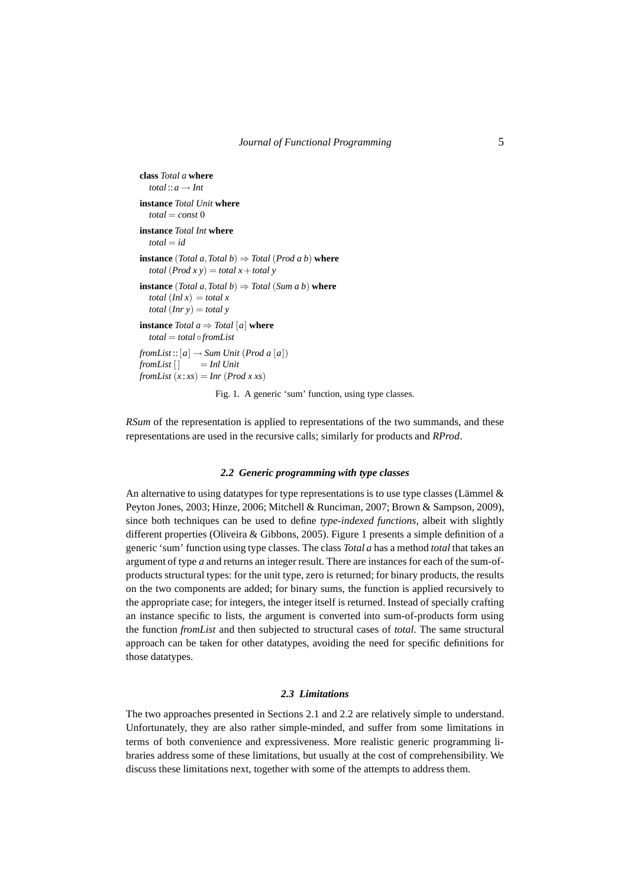```
class Total a where
   total :: a \rightarrow Intinstance Total Unit where
   total = const 0
instance Total Int where
   total = idinstance (Total a, Total b) \Rightarrow Total (Prod a b) where
   total (Prod x y) = total x + total yinstance (Total a, Total b) \Rightarrow Total (Sum a b) where
   total (Inl x) = total x
   total (Inv \, y) = total \, yinstance Total a \Rightarrow Total [a] where
   total = total ◦ fromList
fromList :: [a] \rightarrow Sum Unit (Prod a [a])
fromList<sup>[]</sup> = Inl Unit
fromList (x:xs) = \text{Inr}( \text{Prod } x \text{ } xs)
```
Fig. 1. A generic 'sum' function, using type classes.

*RSum* of the representation is applied to representations of the two summands, and these representations are used in the recursive calls; similarly for products and *RProd*.

#### *2.2 Generic programming with type classes*

An alternative to using datatypes for type representations is to use type classes (Lämmel  $\&$ Peyton Jones, 2003; Hinze, 2006; Mitchell & Runciman, 2007; Brown & Sampson, 2009), since both techniques can be used to define *type-indexed functions*, albeit with slightly different properties (Oliveira & Gibbons, 2005). Figure 1 presents a simple definition of a generic 'sum' function using type classes. The class *Total a* has a method *total* that takes an argument of type *a* and returns an integer result. There are instances for each of the sum-ofproducts structural types: for the unit type, zero is returned; for binary products, the results on the two components are added; for binary sums, the function is applied recursively to the appropriate case; for integers, the integer itself is returned. Instead of specially crafting an instance specific to lists, the argument is converted into sum-of-products form using the function *fromList* and then subjected to structural cases of *total*. The same structural approach can be taken for other datatypes, avoiding the need for specific definitions for those datatypes.

#### *2.3 Limitations*

The two approaches presented in Sections 2.1 and 2.2 are relatively simple to understand. Unfortunately, they are also rather simple-minded, and suffer from some limitations in terms of both convenience and expressiveness. More realistic generic programming libraries address some of these limitations, but usually at the cost of comprehensibility. We discuss these limitations next, together with some of the attempts to address them.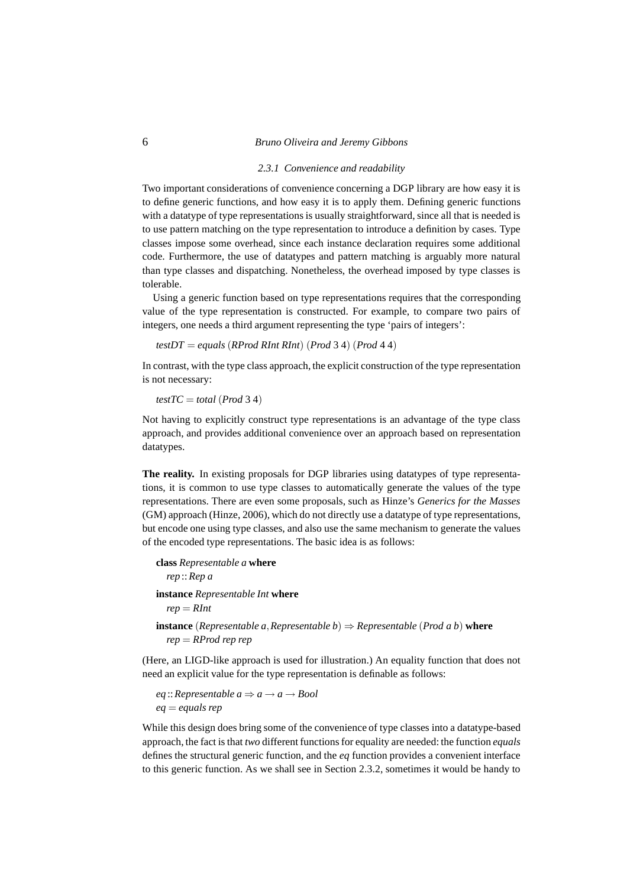# *2.3.1 Convenience and readability*

Two important considerations of convenience concerning a DGP library are how easy it is to define generic functions, and how easy it is to apply them. Defining generic functions with a datatype of type representations is usually straightforward, since all that is needed is to use pattern matching on the type representation to introduce a definition by cases. Type classes impose some overhead, since each instance declaration requires some additional code. Furthermore, the use of datatypes and pattern matching is arguably more natural than type classes and dispatching. Nonetheless, the overhead imposed by type classes is tolerable.

Using a generic function based on type representations requires that the corresponding value of the type representation is constructed. For example, to compare two pairs of integers, one needs a third argument representing the type 'pairs of integers':

 $testDT = equals (RProd RInt RInt) (Prod 3 4) (Prod 4 4)$ 

In contrast, with the type class approach, the explicit construction of the type representation is not necessary:

 $testTC = total (Prod 3 4)$ 

Not having to explicitly construct type representations is an advantage of the type class approach, and provides additional convenience over an approach based on representation datatypes.

**The reality.** In existing proposals for DGP libraries using datatypes of type representations, it is common to use type classes to automatically generate the values of the type representations. There are even some proposals, such as Hinze's *Generics for the Masses* (GM) approach (Hinze, 2006), which do not directly use a datatype of type representations, but encode one using type classes, and also use the same mechanism to generate the values of the encoded type representations. The basic idea is as follows:

**class** *Representable a* **where** *rep* ::*Rep a* **instance** *Representable Int* **where**  $rep = RInt$ **instance** (*Representable a, Representable b*)  $\Rightarrow$  *Representable* (*Prod a b*) **where** *rep* = *RProd rep rep*

(Here, an LIGD-like approach is used for illustration.) An equality function that does not need an explicit value for the type representation is definable as follows:

 $eq: : Representable \t a \Rightarrow a \rightarrow a \rightarrow Bool$ *eq* = *equals rep*

While this design does bring some of the convenience of type classes into a datatype-based approach, the fact is that *two* different functions for equality are needed: the function *equals* defines the structural generic function, and the *eq* function provides a convenient interface to this generic function. As we shall see in Section 2.3.2, sometimes it would be handy to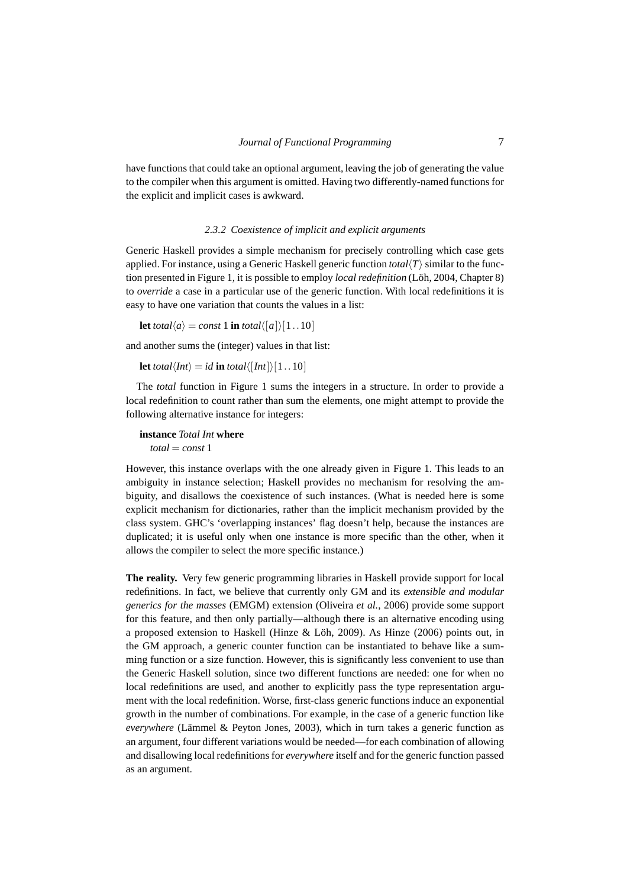have functions that could take an optional argument, leaving the job of generating the value to the compiler when this argument is omitted. Having two differently-named functions for the explicit and implicit cases is awkward.

# *2.3.2 Coexistence of implicit and explicit arguments*

Generic Haskell provides a simple mechanism for precisely controlling which case gets applied. For instance, using a Generic Haskell generic function  $total\langle T \rangle$  similar to the function presented in Figure 1, it is possible to employ *local redefinition* (Löh, 2004, Chapter 8) to *override* a case in a particular use of the generic function. With local redefinitions it is easy to have one variation that counts the values in a list:

**let** *total* $\langle a \rangle$  = *const* 1 **in** *total* $\langle [a] \rangle$ [1..10]

and another sums the (integer) values in that list:

**let** *total* $\langle Int \rangle = id$  **in** *total* $\langle \lfloor Int \rfloor \rangle [1..10]$ 

The *total* function in Figure 1 sums the integers in a structure. In order to provide a local redefinition to count rather than sum the elements, one might attempt to provide the following alternative instance for integers:

**instance** *Total Int* **where**  $total = const 1$ 

However, this instance overlaps with the one already given in Figure 1. This leads to an ambiguity in instance selection; Haskell provides no mechanism for resolving the ambiguity, and disallows the coexistence of such instances. (What is needed here is some explicit mechanism for dictionaries, rather than the implicit mechanism provided by the class system. GHC's 'overlapping instances' flag doesn't help, because the instances are duplicated; it is useful only when one instance is more specific than the other, when it allows the compiler to select the more specific instance.)

**The reality.** Very few generic programming libraries in Haskell provide support for local redefinitions. In fact, we believe that currently only GM and its *extensible and modular generics for the masses* (EMGM) extension (Oliveira *et al.*, 2006) provide some support for this feature, and then only partially—although there is an alternative encoding using a proposed extension to Haskell (Hinze  $&$  Löh, 2009). As Hinze (2006) points out, in the GM approach, a generic counter function can be instantiated to behave like a summing function or a size function. However, this is significantly less convenient to use than the Generic Haskell solution, since two different functions are needed: one for when no local redefinitions are used, and another to explicitly pass the type representation argument with the local redefinition. Worse, first-class generic functions induce an exponential growth in the number of combinations. For example, in the case of a generic function like *everywhere* (Lämmel & Peyton Jones, 2003), which in turn takes a generic function as an argument, four different variations would be needed—for each combination of allowing and disallowing local redefinitions for *everywhere* itself and for the generic function passed as an argument.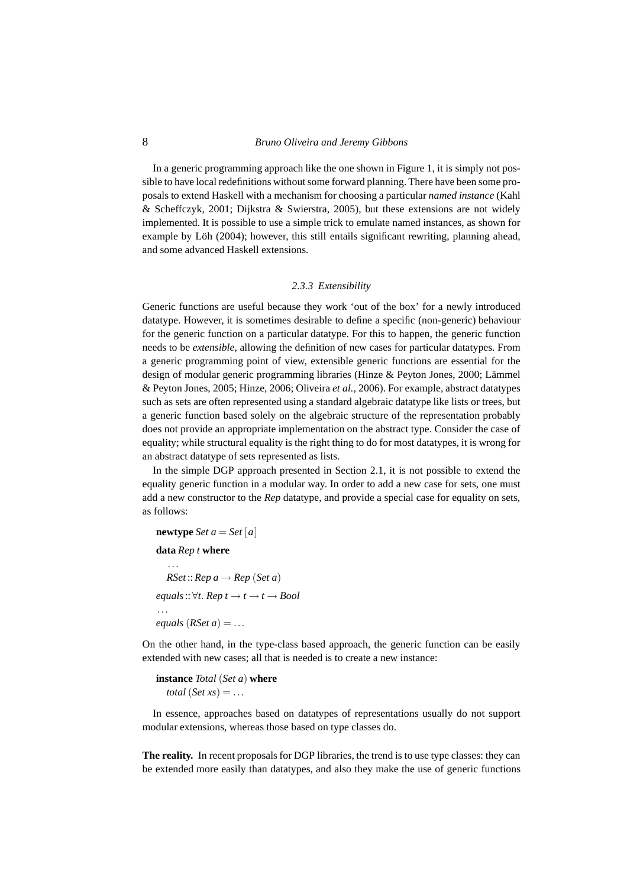In a generic programming approach like the one shown in Figure 1, it is simply not possible to have local redefinitions without some forward planning. There have been some proposals to extend Haskell with a mechanism for choosing a particular *named instance* (Kahl & Scheffczyk, 2001; Dijkstra & Swierstra, 2005), but these extensions are not widely implemented. It is possible to use a simple trick to emulate named instances, as shown for example by Löh (2004); however, this still entails significant rewriting, planning ahead, and some advanced Haskell extensions.

## *2.3.3 Extensibility*

Generic functions are useful because they work 'out of the box' for a newly introduced datatype. However, it is sometimes desirable to define a specific (non-generic) behaviour for the generic function on a particular datatype. For this to happen, the generic function needs to be *extensible*, allowing the definition of new cases for particular datatypes. From a generic programming point of view, extensible generic functions are essential for the design of modular generic programming libraries (Hinze & Peyton Jones, 2000; Lämmel & Peyton Jones, 2005; Hinze, 2006; Oliveira *et al.*, 2006). For example, abstract datatypes such as sets are often represented using a standard algebraic datatype like lists or trees, but a generic function based solely on the algebraic structure of the representation probably does not provide an appropriate implementation on the abstract type. Consider the case of equality; while structural equality is the right thing to do for most datatypes, it is wrong for an abstract datatype of sets represented as lists.

In the simple DGP approach presented in Section 2.1, it is not possible to extend the equality generic function in a modular way. In order to add a new case for sets, one must add a new constructor to the *Rep* datatype, and provide a special case for equality on sets, as follows:

**newtype** *Set*  $a = Set[a]$ **data** *Rep t* **where** ...  $RSet::Rep a \rightarrow Rep (Set a)$  $equals:: \forall t$ .  $Rep\ t \rightarrow t \rightarrow t \rightarrow Bool$ ...  $equals(RSet a) = ...$ 

On the other hand, in the type-class based approach, the generic function can be easily extended with new cases; all that is needed is to create a new instance:

```
instance Total (Set a) where
  total (Set xs) = ...
```
In essence, approaches based on datatypes of representations usually do not support modular extensions, whereas those based on type classes do.

**The reality.** In recent proposals for DGP libraries, the trend is to use type classes: they can be extended more easily than datatypes, and also they make the use of generic functions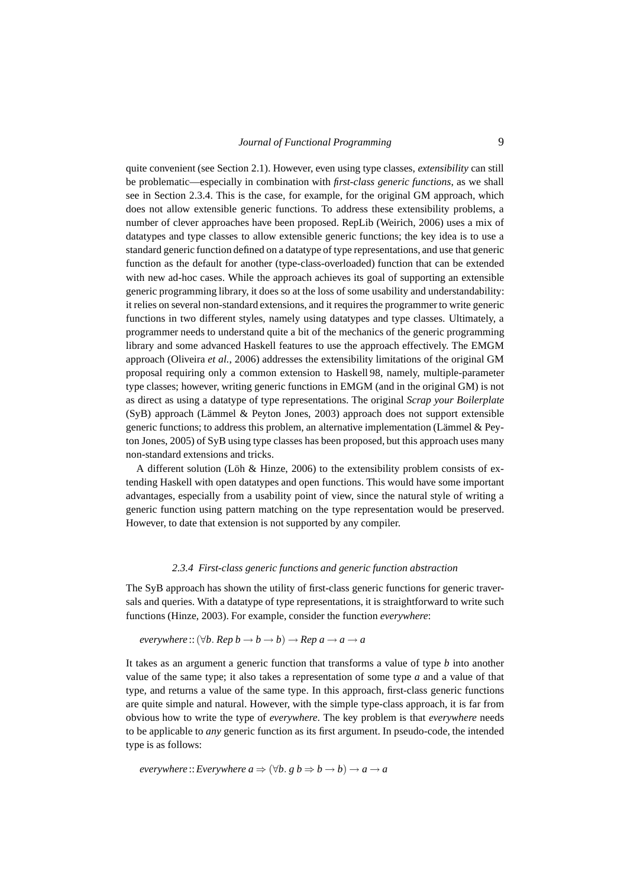quite convenient (see Section 2.1). However, even using type classes, *extensibility* can still be problematic—especially in combination with *first-class generic functions*, as we shall see in Section 2.3.4. This is the case, for example, for the original GM approach, which does not allow extensible generic functions. To address these extensibility problems, a number of clever approaches have been proposed. RepLib (Weirich, 2006) uses a mix of datatypes and type classes to allow extensible generic functions; the key idea is to use a standard generic function defined on a datatype of type representations, and use that generic function as the default for another (type-class-overloaded) function that can be extended with new ad-hoc cases. While the approach achieves its goal of supporting an extensible generic programming library, it does so at the loss of some usability and understandability: it relies on several non-standard extensions, and it requires the programmer to write generic functions in two different styles, namely using datatypes and type classes. Ultimately, a programmer needs to understand quite a bit of the mechanics of the generic programming library and some advanced Haskell features to use the approach effectively. The EMGM approach (Oliveira *et al.*, 2006) addresses the extensibility limitations of the original GM proposal requiring only a common extension to Haskell 98, namely, multiple-parameter type classes; however, writing generic functions in EMGM (and in the original GM) is not as direct as using a datatype of type representations. The original *Scrap your Boilerplate*  $(SvB)$  approach (Lämmel & Peyton Jones, 2003) approach does not support extensible generic functions; to address this problem, an alternative implementation (Lämmel  $&$  Peyton Jones, 2005) of SyB using type classes has been proposed, but this approach uses many non-standard extensions and tricks.

A different solution (Löh & Hinze, 2006) to the extensibility problem consists of extending Haskell with open datatypes and open functions. This would have some important advantages, especially from a usability point of view, since the natural style of writing a generic function using pattern matching on the type representation would be preserved. However, to date that extension is not supported by any compiler.

#### *2.3.4 First-class generic functions and generic function abstraction*

The SyB approach has shown the utility of first-class generic functions for generic traversals and queries. With a datatype of type representations, it is straightforward to write such functions (Hinze, 2003). For example, consider the function *everywhere*:

*everywhere* :: 
$$
(\forall b. \text{ } Rep \text{ } b \rightarrow b \rightarrow b) \rightarrow \text{ } Rep \text{ } a \rightarrow a \rightarrow a
$$

It takes as an argument a generic function that transforms a value of type *b* into another value of the same type; it also takes a representation of some type *a* and a value of that type, and returns a value of the same type. In this approach, first-class generic functions are quite simple and natural. However, with the simple type-class approach, it is far from obvious how to write the type of *everywhere*. The key problem is that *everywhere* needs to be applicable to *any* generic function as its first argument. In pseudo-code, the intended type is as follows:

*everywhere* :: *Everywhere*  $a \Rightarrow (\forall b, g \ b \Rightarrow b \rightarrow b) \rightarrow a \rightarrow a$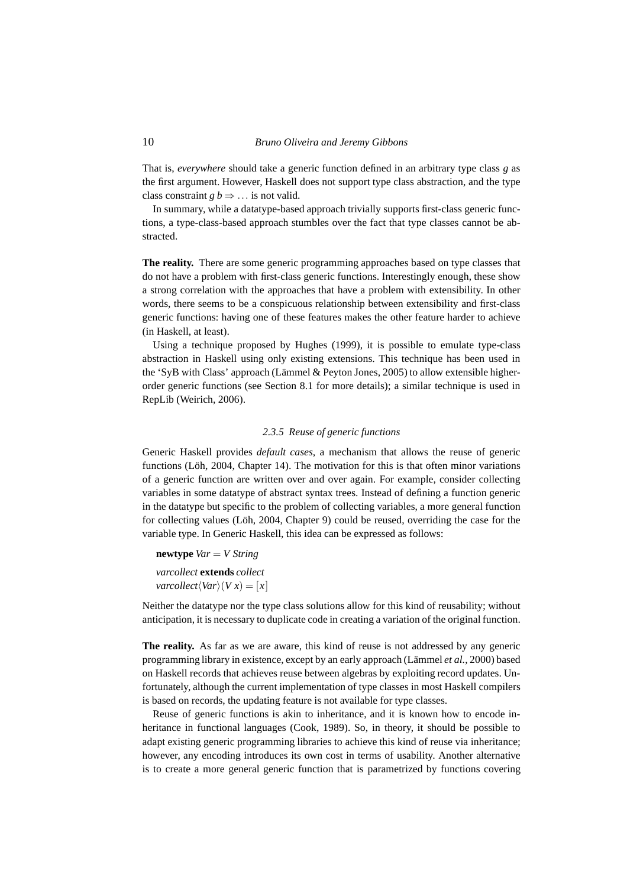That is, *everywhere* should take a generic function defined in an arbitrary type class *g* as the first argument. However, Haskell does not support type class abstraction, and the type class constraint  $g b \Rightarrow \dots$  is not valid.

In summary, while a datatype-based approach trivially supports first-class generic functions, a type-class-based approach stumbles over the fact that type classes cannot be abstracted.

**The reality.** There are some generic programming approaches based on type classes that do not have a problem with first-class generic functions. Interestingly enough, these show a strong correlation with the approaches that have a problem with extensibility. In other words, there seems to be a conspicuous relationship between extensibility and first-class generic functions: having one of these features makes the other feature harder to achieve (in Haskell, at least).

Using a technique proposed by Hughes (1999), it is possible to emulate type-class abstraction in Haskell using only existing extensions. This technique has been used in the 'SyB with Class' approach (Lämmel  $&$  Peyton Jones, 2005) to allow extensible higherorder generic functions (see Section 8.1 for more details); a similar technique is used in RepLib (Weirich, 2006).

# *2.3.5 Reuse of generic functions*

Generic Haskell provides *default cases*, a mechanism that allows the reuse of generic functions (Löh, 2004, Chapter 14). The motivation for this is that often minor variations of a generic function are written over and over again. For example, consider collecting variables in some datatype of abstract syntax trees. Instead of defining a function generic in the datatype but specific to the problem of collecting variables, a more general function for collecting values (Löh, 2004, Chapter 9) could be reused, overriding the case for the variable type. In Generic Haskell, this idea can be expressed as follows:

**newtype** *Var* = *V String varcollect* **extends** *collect varcollect* $\langle Var \rangle$  $(Vx) = [x]$ 

Neither the datatype nor the type class solutions allow for this kind of reusability; without anticipation, it is necessary to duplicate code in creating a variation of the original function.

**The reality.** As far as we are aware, this kind of reuse is not addressed by any generic programming library in existence, except by an early approach (Lämmel *et al.*, 2000) based on Haskell records that achieves reuse between algebras by exploiting record updates. Unfortunately, although the current implementation of type classes in most Haskell compilers is based on records, the updating feature is not available for type classes.

Reuse of generic functions is akin to inheritance, and it is known how to encode inheritance in functional languages (Cook, 1989). So, in theory, it should be possible to adapt existing generic programming libraries to achieve this kind of reuse via inheritance; however, any encoding introduces its own cost in terms of usability. Another alternative is to create a more general generic function that is parametrized by functions covering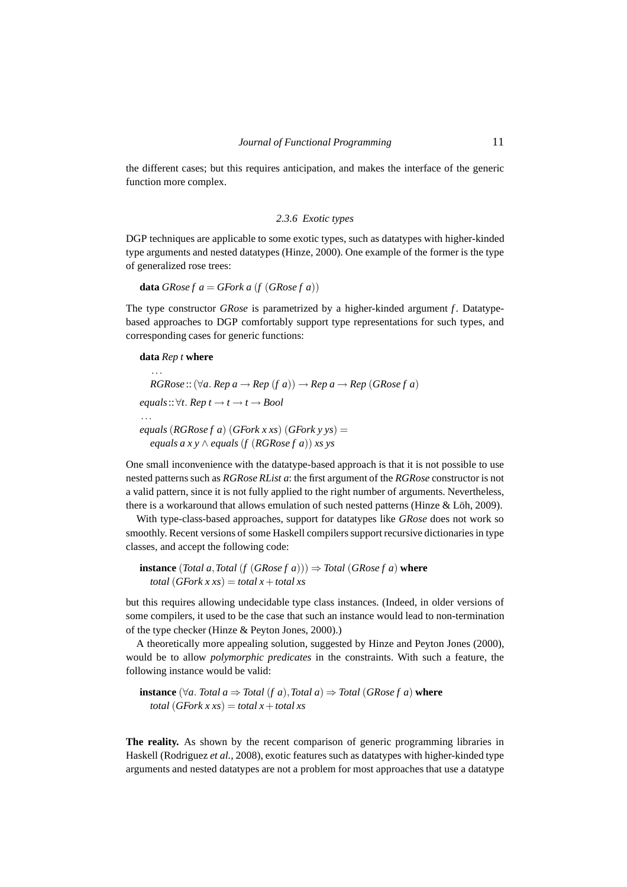the different cases; but this requires anticipation, and makes the interface of the generic function more complex.

#### *2.3.6 Exotic types*

DGP techniques are applicable to some exotic types, such as datatypes with higher-kinded type arguments and nested datatypes (Hinze, 2000). One example of the former is the type of generalized rose trees:

**data** *GRose f* 
$$
a = \text{GFork } a \text{ } ( \text{GRose } f \text{ } a \text{ ) }
$$

The type constructor *GRose* is parametrized by a higher-kinded argument *f*. Datatypebased approaches to DGP comfortably support type representations for such types, and corresponding cases for generic functions:

# **data** *Rep t* **where**

...  $RGRose::(\forall a. Rep a \rightarrow Rep (f a)) \rightarrow Rep a \rightarrow Rep (GRose f a)$  $equals::\forall t$ .  $Rep\ t \rightarrow t \rightarrow t \rightarrow Bool$ ...  $equals (RGRosef a) (GFork x xs) (GFork y ys) =$ *equals a x y*  $∧$  *equals* (*f* (*RGRose f a*)) *xs ys* 

One small inconvenience with the datatype-based approach is that it is not possible to use nested patterns such as *RGRose RList a*: the first argument of the *RGRose* constructor is not a valid pattern, since it is not fully applied to the right number of arguments. Nevertheless, there is a workaround that allows emulation of such nested patterns (Hinze  $&$  Löh, 2009).

With type-class-based approaches, support for datatypes like *GRose* does not work so smoothly. Recent versions of some Haskell compilers support recursive dictionaries in type classes, and accept the following code:

**instance** (*Total a, Total* (*f* (*GRose f a*)))  $\Rightarrow$  *Total* (*GRose f a*) **where** *total*  $(GFork x xs) = total x + total xs$ 

but this requires allowing undecidable type class instances. (Indeed, in older versions of some compilers, it used to be the case that such an instance would lead to non-termination of the type checker (Hinze & Peyton Jones, 2000).)

A theoretically more appealing solution, suggested by Hinze and Peyton Jones (2000), would be to allow *polymorphic predicates* in the constraints. With such a feature, the following instance would be valid:

**instance** (∀*a*. *Total a*  $\Rightarrow$  *Total* (*f a*), *Total a*)  $\Rightarrow$  *Total* (*GRose f a*) **where** *total*  $(GFork x xs) = total x + total xs$ 

**The reality.** As shown by the recent comparison of generic programming libraries in Haskell (Rodriguez *et al.*, 2008), exotic features such as datatypes with higher-kinded type arguments and nested datatypes are not a problem for most approaches that use a datatype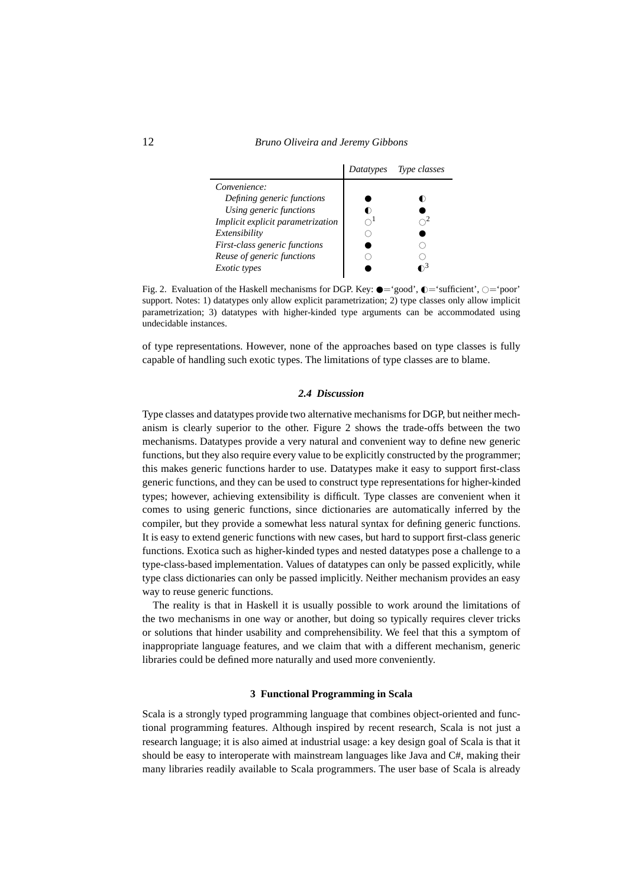|                                   | Datatypes Type classes |
|-----------------------------------|------------------------|
| Convenience:                      |                        |
| Defining generic functions        |                        |
| Using generic functions           |                        |
| Implicit explicit parametrization |                        |
| Extensibility                     |                        |
| First-class generic functions     |                        |
| Reuse of generic functions        |                        |
| <i>Exotic types</i>               |                        |

Fig. 2. Evaluation of the Haskell mechanisms for DGP. Key:  $\bullet = 'good'$ ,  $\bullet = 'sufficient'$ ,  $\circ = 'poor'$ support. Notes: 1) datatypes only allow explicit parametrization; 2) type classes only allow implicit parametrization; 3) datatypes with higher-kinded type arguments can be accommodated using undecidable instances.

of type representations. However, none of the approaches based on type classes is fully capable of handling such exotic types. The limitations of type classes are to blame.

## *2.4 Discussion*

Type classes and datatypes provide two alternative mechanisms for DGP, but neither mechanism is clearly superior to the other. Figure 2 shows the trade-offs between the two mechanisms. Datatypes provide a very natural and convenient way to define new generic functions, but they also require every value to be explicitly constructed by the programmer; this makes generic functions harder to use. Datatypes make it easy to support first-class generic functions, and they can be used to construct type representations for higher-kinded types; however, achieving extensibility is difficult. Type classes are convenient when it comes to using generic functions, since dictionaries are automatically inferred by the compiler, but they provide a somewhat less natural syntax for defining generic functions. It is easy to extend generic functions with new cases, but hard to support first-class generic functions. Exotica such as higher-kinded types and nested datatypes pose a challenge to a type-class-based implementation. Values of datatypes can only be passed explicitly, while type class dictionaries can only be passed implicitly. Neither mechanism provides an easy way to reuse generic functions.

The reality is that in Haskell it is usually possible to work around the limitations of the two mechanisms in one way or another, but doing so typically requires clever tricks or solutions that hinder usability and comprehensibility. We feel that this a symptom of inappropriate language features, and we claim that with a different mechanism, generic libraries could be defined more naturally and used more conveniently.

## **3 Functional Programming in Scala**

Scala is a strongly typed programming language that combines object-oriented and functional programming features. Although inspired by recent research, Scala is not just a research language; it is also aimed at industrial usage: a key design goal of Scala is that it should be easy to interoperate with mainstream languages like Java and C#, making their many libraries readily available to Scala programmers. The user base of Scala is already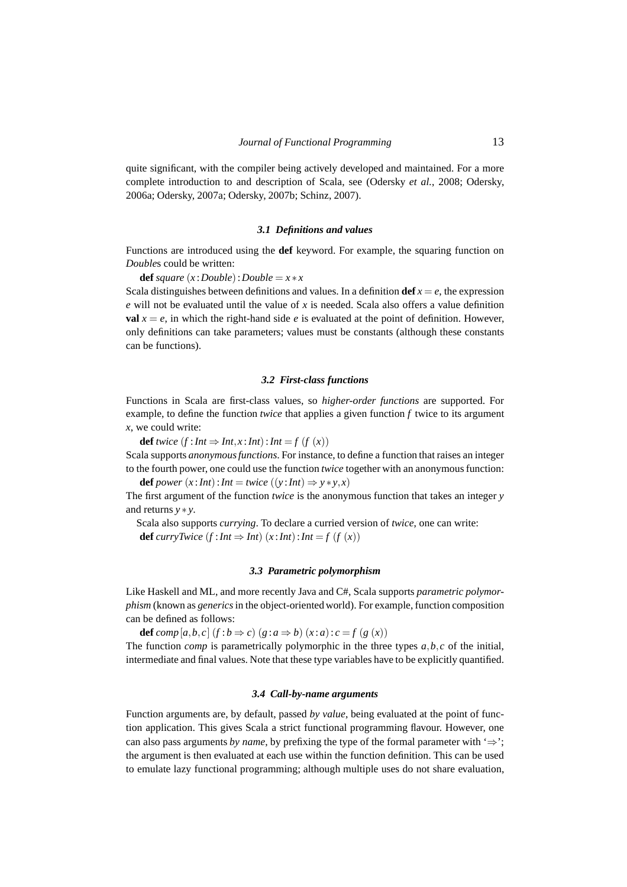quite significant, with the compiler being actively developed and maintained. For a more complete introduction to and description of Scala, see (Odersky *et al.*, 2008; Odersky, 2006a; Odersky, 2007a; Odersky, 2007b; Schinz, 2007).

# *3.1 Definitions and values*

Functions are introduced using the **def** keyword. For example, the squaring function on *Double*s could be written:

**def** *square*  $(x:Double):Double = x * x$ 

Scala distinguishes between definitions and values. In a definition  $\det x = e$ , the expression *e* will not be evaluated until the value of *x* is needed. Scala also offers a value definition **val**  $x = e$ , in which the right-hand side *e* is evaluated at the point of definition. However, only definitions can take parameters; values must be constants (although these constants can be functions).

# *3.2 First-class functions*

Functions in Scala are first-class values, so *higher-order functions* are supported. For example, to define the function *twice* that applies a given function *f* twice to its argument *x*, we could write:

**def** *twice*  $(f : Int \Rightarrow Int, x : Int) : Int = f(f(x))$ 

Scala supports *anonymous functions*. For instance, to define a function that raises an integer to the fourth power, one could use the function *twice* together with an anonymous function: **def** *power*  $(x: Int): Int = twice ((y: Int) \Rightarrow y * y, x)$ 

The first argument of the function *twice* is the anonymous function that takes an integer *y* and returns *y* ∗ *y*.

Scala also supports *currying*. To declare a curried version of *twice*, one can write: **def** *curryTwice*  $(f : Int \Rightarrow Int)$   $(x : Int) : Int = f(f(x))$ 

# *3.3 Parametric polymorphism*

Like Haskell and ML, and more recently Java and C#, Scala supports *parametric polymorphism* (known as *generics*in the object-oriented world). For example, function composition can be defined as follows:

**def**  $comp[a, b, c]$   $(f : b \Rightarrow c)$   $(g : a \Rightarrow b)$   $(x : a) : c = f(g(x))$ The function *comp* is parametrically polymorphic in the three types *a*,*b*,*c* of the initial,

intermediate and final values. Note that these type variables have to be explicitly quantified.

#### *3.4 Call-by-name arguments*

Function arguments are, by default, passed *by value*, being evaluated at the point of function application. This gives Scala a strict functional programming flavour. However, one can also pass arguments *by name*, by prefixing the type of the formal parameter with  $\Rightarrow$ '; the argument is then evaluated at each use within the function definition. This can be used to emulate lazy functional programming; although multiple uses do not share evaluation,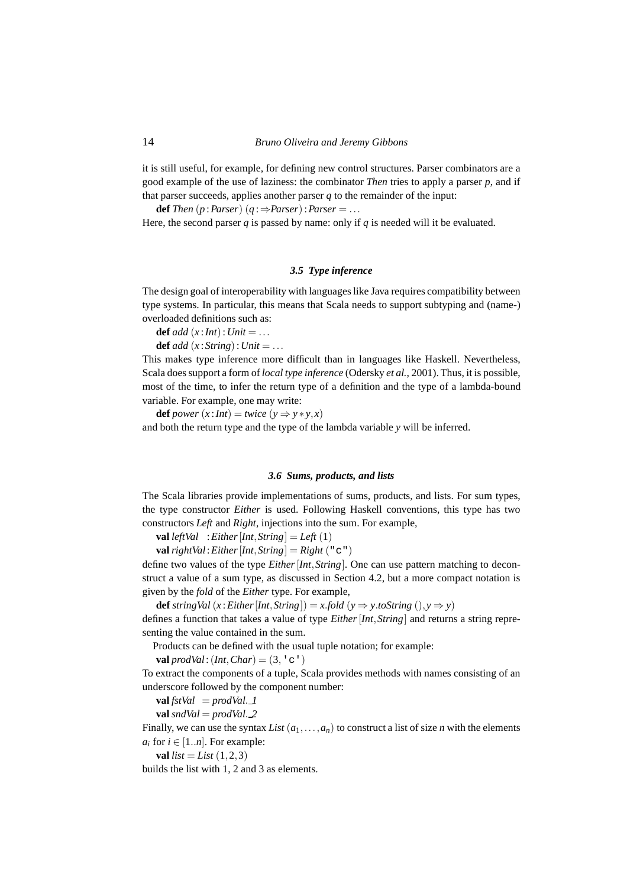it is still useful, for example, for defining new control structures. Parser combinators are a good example of the use of laziness: the combinator *Then* tries to apply a parser *p*, and if that parser succeeds, applies another parser  $q$  to the remainder of the input:

**def** *Then*  $(p : \text{Parser})$   $(q : \Rightarrow \text{Parser})$  :  $\text{Parser} = ...$ Here, the second parser  $q$  is passed by name: only if  $q$  is needed will it be evaluated.

# *3.5 Type inference*

The design goal of interoperability with languages like Java requires compatibility between type systems. In particular, this means that Scala needs to support subtyping and (name-) overloaded definitions such as:

**def** *add*  $(x : Int) : Unit = ...$ **def** *add*  $(x: String): Unit = ...$ 

This makes type inference more difficult than in languages like Haskell. Nevertheless, Scala does support a form of *local type inference* (Odersky *et al.*, 2001). Thus, it is possible, most of the time, to infer the return type of a definition and the type of a lambda-bound variable. For example, one may write:

**def** *power*  $(x: Int) = twice (y \Rightarrow y * y, x)$ and both the return type and the type of the lambda variable *y* will be inferred.

# *3.6 Sums, products, and lists*

The Scala libraries provide implementations of sums, products, and lists. For sum types, the type constructor *Either* is used. Following Haskell conventions, this type has two constructors *Left* and *Right*, injections into the sum. For example,

**val**  $leftVal$  : *Either* [*Int*,*String*] = *Left* (1)

**val** *rightVal*: *Either* [*Int*, *String*] =  $Right$  ("c")

define two values of the type *Either*[*Int*,*String*]. One can use pattern matching to deconstruct a value of a sum type, as discussed in Section 4.2, but a more compact notation is given by the *fold* of the *Either* type. For example,

**def** *stringVal* (*x* : *Either* [*Int*, *String*]) = *x*.*fold* ( $y \Rightarrow y$ *, toString* (),  $y \Rightarrow y$ )

defines a function that takes a value of type *Either*[*Int*,*String*] and returns a string representing the value contained in the sum.

Products can be defined with the usual tuple notation; for example:

**val**  $\text{prodVal}: (\text{Int}, \text{Char}) = (3, \text{'c'})$ 

To extract the components of a tuple, Scala provides methods with names consisting of an underscore followed by the component number:

 $\mathbf{val}$  *fstVal* = *prodVal. 1* 

**val**  $\text{sndVal} = \text{prodVal}$ . 2

Finally, we can use the syntax *List*  $(a_1, \ldots, a_n)$  to construct a list of size *n* with the elements  $a_i$  for  $i \in [1..n]$ . For example:

**val**  $list = List(1, 2, 3)$ 

builds the list with 1, 2 and 3 as elements.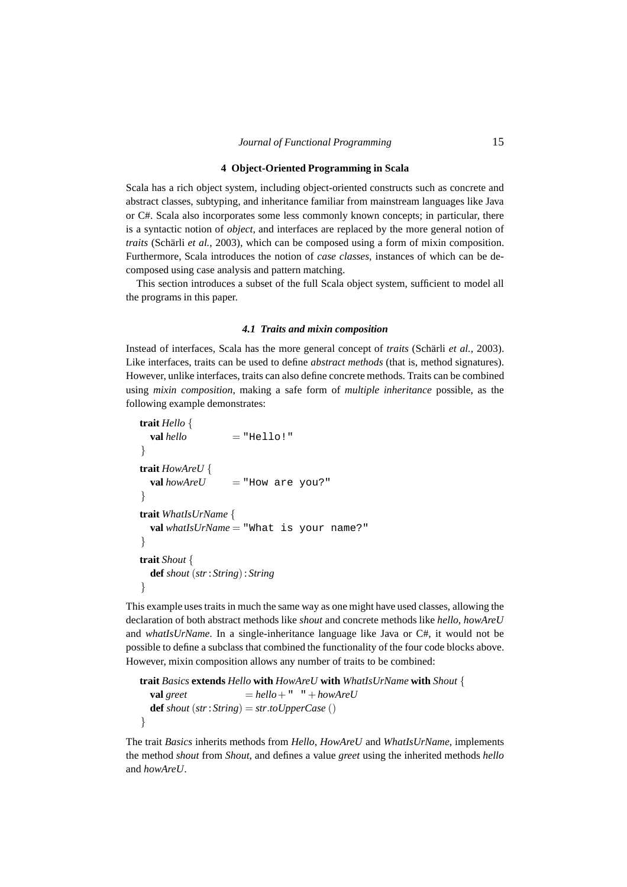# **4 Object-Oriented Programming in Scala**

Scala has a rich object system, including object-oriented constructs such as concrete and abstract classes, subtyping, and inheritance familiar from mainstream languages like Java or C#. Scala also incorporates some less commonly known concepts; in particular, there is a syntactic notion of *object*, and interfaces are replaced by the more general notion of *traits* (Schärli *et al.*, 2003), which can be composed using a form of mixin composition. Furthermore, Scala introduces the notion of *case classes*, instances of which can be decomposed using case analysis and pattern matching.

This section introduces a subset of the full Scala object system, sufficient to model all the programs in this paper.

# *4.1 Traits and mixin composition*

Instead of interfaces, Scala has the more general concept of *traits* (Schärli *et al.*, 2003). Like interfaces, traits can be used to define *abstract methods* (that is, method signatures). However, unlike interfaces, traits can also define concrete methods. Traits can be combined using *mixin composition*, making a safe form of *multiple inheritance* possible, as the following example demonstrates:

```
trait Hello {
  val hello = "Hello!"
}
trait HowAreU {
  val \, \textit{howAreU} = "How are you?"
}
trait WhatIsUrName {
  val whatIsUrName = "What is your name?"
}
trait Shout {
  def shout (str: String): String
}
```
This example uses traits in much the same way as one might have used classes, allowing the declaration of both abstract methods like *shout* and concrete methods like *hello*, *howAreU* and *whatIsUrName*. In a single-inheritance language like Java or C#, it would not be possible to define a subclass that combined the functionality of the four code blocks above. However, mixin composition allows any number of traits to be combined:

```
trait Basics extends Hello with HowAreU with WhatIsUrName with Shout {
  val \text{green} greet = \text{hello} + " + \text{howAreU}def shout (str: String) = str.toUpperCase ()
}
```
The trait *Basics* inherits methods from *Hello*, *HowAreU* and *WhatIsUrName*, implements the method *shout* from *Shout*, and defines a value *greet* using the inherited methods *hello* and *howAreU*.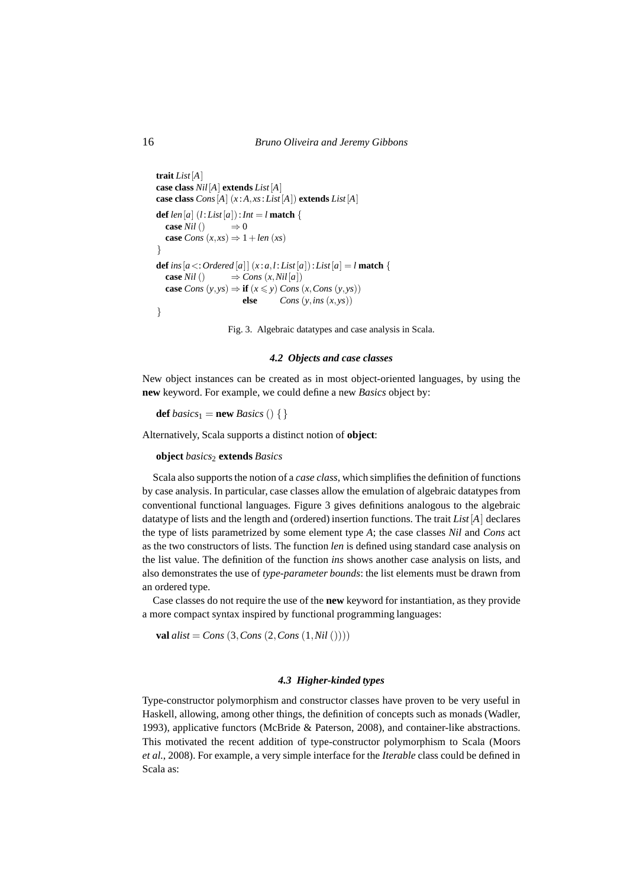16 *Bruno Oliveira and Jeremy Gibbons*

```
trait List[A]
case class Nil[A] extends List[A]
case class Cons[A](x:A, xs:List[A]) extends List[A]def len[a] (l:List[a]):Int = l match {
  case Nil () \Rightarrow 0
  case Cons(x, xs) \Rightarrow 1 + len(xs)}
def ins[a < : Ordered[a]] (x : a, l : List[a]) : List[a] = l match {
  case Nil () \Rightarrow Cons (x, Nil[a])case Cons (y,ys) \Rightarrow if (x ≤ y) Cons (x, Cons (y, ys))
                        else Cons (y, ins(x, ys))}
```
Fig. 3. Algebraic datatypes and case analysis in Scala.

#### *4.2 Objects and case classes*

New object instances can be created as in most object-oriented languages, by using the **new** keyword. For example, we could define a new *Basics* object by:

**def** *basics*<sub>1</sub> = **new** *Basics* () {}

Alternatively, Scala supports a distinct notion of **object**:

## **object** *basics*<sup>2</sup> **extends** *Basics*

Scala also supports the notion of a *case class*, which simplifies the definition of functions by case analysis. In particular, case classes allow the emulation of algebraic datatypes from conventional functional languages. Figure 3 gives definitions analogous to the algebraic datatype of lists and the length and (ordered) insertion functions. The trait *List*[*A*] declares the type of lists parametrized by some element type *A*; the case classes *Nil* and *Cons* act as the two constructors of lists. The function *len* is defined using standard case analysis on the list value. The definition of the function *ins* shows another case analysis on lists, and also demonstrates the use of *type-parameter bounds*: the list elements must be drawn from an ordered type.

Case classes do not require the use of the **new** keyword for instantiation, as they provide a more compact syntax inspired by functional programming languages:

**val**  $alist = Cons(3, Cons(2, Cons(1, Nil))))$ 

# *4.3 Higher-kinded types*

Type-constructor polymorphism and constructor classes have proven to be very useful in Haskell, allowing, among other things, the definition of concepts such as monads (Wadler, 1993), applicative functors (McBride & Paterson, 2008), and container-like abstractions. This motivated the recent addition of type-constructor polymorphism to Scala (Moors *et al.*, 2008). For example, a very simple interface for the *Iterable* class could be defined in Scala as: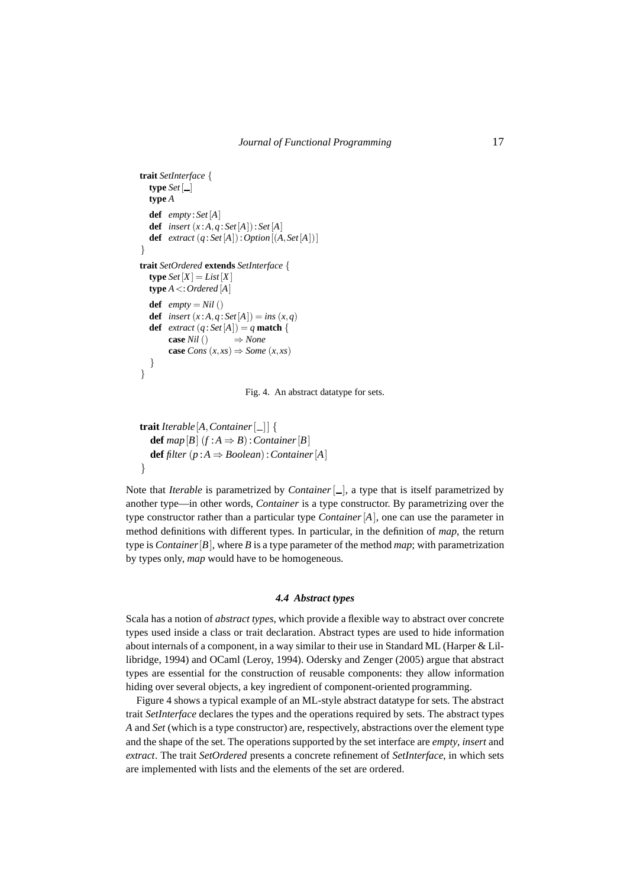```
trait SetInterface {
  type Set \Boxtype A
  def empty : Set[A]
  def insert (x :A,q : Set[A]): Set[A]
  def ext{ract}(q:Set[A]):Option[(A,Set[A])]}
trait SetOrdered extends SetInterface {
  type Set[X] = List[X]type A \leq: Ordered [A]def empty = Nil()def insert (x:A,q:Set[A]) = ins (x,q)def extract (q: Set[A]) = q match {
       case Nil () \Rightarrow None
       case Cons(x, xs) \Rightarrow Some(x, xs)}
}
```
Fig. 4. An abstract datatype for sets.

```
trait Iterable [A, Container[-]] {
  def map[B] (f:A \Rightarrow B): Container<sup>[B]</sup>
   def filter (p:A \Rightarrow Boolean):Container[A]}
```
Note that *Iterable* is parametrized by *Container* [1], a type that is itself parametrized by another type—in other words, *Container* is a type constructor. By parametrizing over the type constructor rather than a particular type *Container*[*A*], one can use the parameter in method definitions with different types. In particular, in the definition of *map*, the return type is *Container*[*B*], where *B* is a type parameter of the method *map*; with parametrization by types only, *map* would have to be homogeneous.

# *4.4 Abstract types*

Scala has a notion of *abstract types*, which provide a flexible way to abstract over concrete types used inside a class or trait declaration. Abstract types are used to hide information about internals of a component, in a way similar to their use in Standard ML (Harper & Lillibridge, 1994) and OCaml (Leroy, 1994). Odersky and Zenger (2005) argue that abstract types are essential for the construction of reusable components: they allow information hiding over several objects, a key ingredient of component-oriented programming.

Figure 4 shows a typical example of an ML-style abstract datatype for sets. The abstract trait *SetInterface* declares the types and the operations required by sets. The abstract types *A* and *Set* (which is a type constructor) are, respectively, abstractions over the element type and the shape of the set. The operations supported by the set interface are *empty*, *insert* and *extract*. The trait *SetOrdered* presents a concrete refinement of *SetInterface*, in which sets are implemented with lists and the elements of the set are ordered.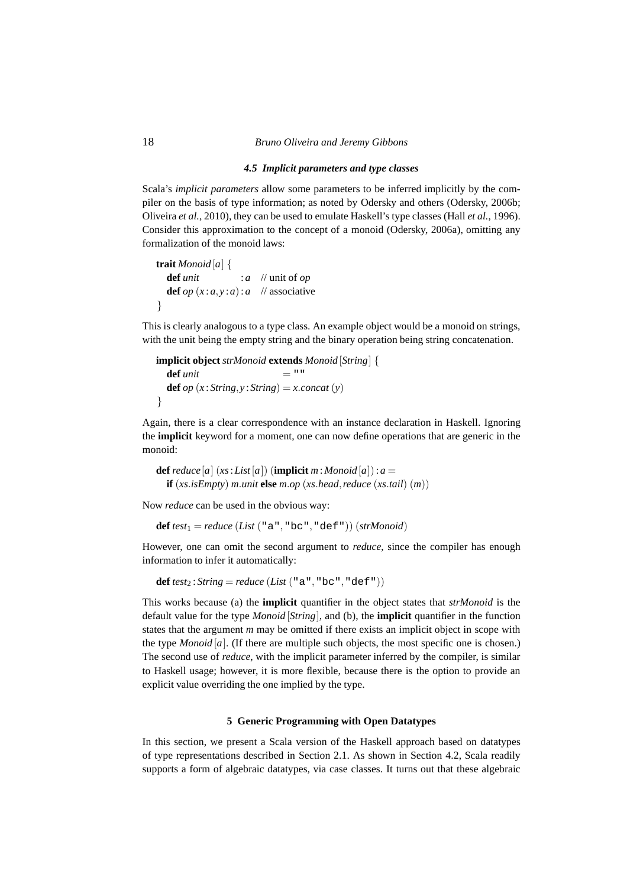18 *Bruno Oliveira and Jeremy Gibbons*

#### *4.5 Implicit parameters and type classes*

Scala's *implicit parameters* allow some parameters to be inferred implicitly by the compiler on the basis of type information; as noted by Odersky and others (Odersky, 2006b; Oliveira *et al.*, 2010), they can be used to emulate Haskell's type classes (Hall *et al.*, 1996). Consider this approximation to the concept of a monoid (Odersky, 2006a), omitting any formalization of the monoid laws:

```
trait Monoid [a] {
  def unit : a // unit of op
  def op (x : a, y : a) : a // associative
}
```
This is clearly analogous to a type class. An example object would be a monoid on strings, with the unit being the empty string and the binary operation being string concatenation.

```
implicit object strMonoid extends Monoid [String] {
  def unit = ""def op (x: String, y: String) = x \cdot concat(y)}
```
Again, there is a clear correspondence with an instance declaration in Haskell. Ignoring the **implicit** keyword for a moment, one can now define operations that are generic in the monoid:

```
def reduce[a] (xs: List[a]) (implicit m: Monoid[a]): a =if (xs.isEmpty) m.unit else m.op (xs.head,reduce (xs.tail) (m))
```
Now *reduce* can be used in the obvious way:

**def**  $test_1 = reduce(List("a", "bc", "def")) (strMonoid)$ 

However, one can omit the second argument to *reduce*, since the compiler has enough information to infer it automatically:

 $\textbf{def } test_2: String = reduce (List("a", "bc", "def"))$ 

This works because (a) the **implicit** quantifier in the object states that *strMonoid* is the default value for the type *Monoid* [*String*], and (b), the **implicit** quantifier in the function states that the argument *m* may be omitted if there exists an implicit object in scope with the type *Monoid* [*a*]. (If there are multiple such objects, the most specific one is chosen.) The second use of *reduce*, with the implicit parameter inferred by the compiler, is similar to Haskell usage; however, it is more flexible, because there is the option to provide an explicit value overriding the one implied by the type.

# **5 Generic Programming with Open Datatypes**

In this section, we present a Scala version of the Haskell approach based on datatypes of type representations described in Section 2.1. As shown in Section 4.2, Scala readily supports a form of algebraic datatypes, via case classes. It turns out that these algebraic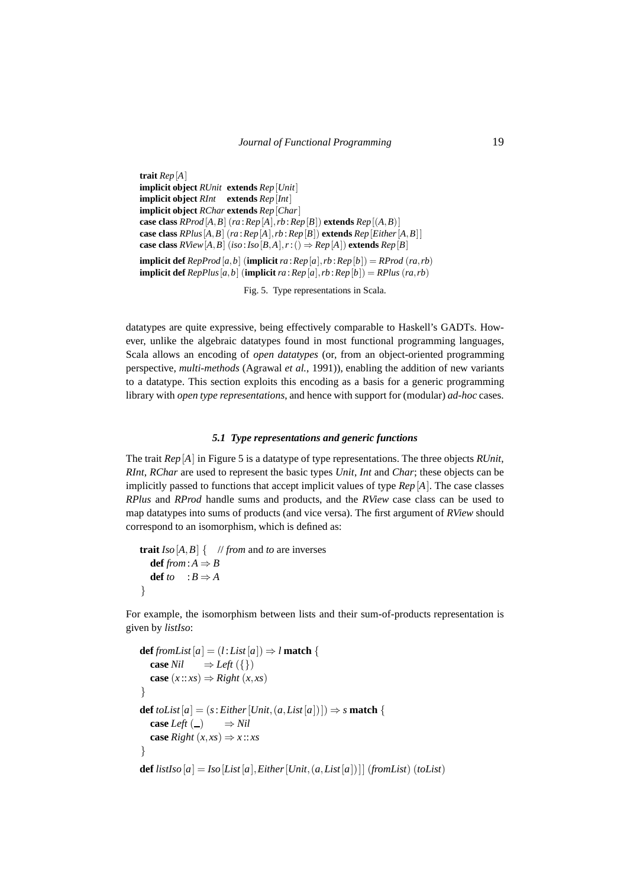**trait** *Rep*[*A*] **implicit object** *RUnit* **extends** *Rep*[*Unit*] **implicit object** *RInt* **extends** *Rep*[*Int*] **implicit object** *RChar* **extends** *Rep*[*Char*] **case class**  $RProd[A, B]$  ( $ra:Rep[A], rb:Rep[B]$ ) **extends**  $Rep[(A, B)]$ **case class** *RPlus*[*A*,*B*] (*ra* :*Rep*[*A*],*rb* :*Rep*[*B*]) **extends** *Rep*[*Either*[*A*,*B*]] **case class**  $RView[A,B]$  (*iso* : *Iso*  $[B,A], r:() \Rightarrow Rep[A])$  **extends**  $Rep[B]$ **implicit def**  $RepProd[a, b]$  (**implicit**  $ra : Rep[a], rb : Rep[b]) = RProd (ra, rb)$ **implicit def**  $\text{RepPlus}[a,b]$  (**implicit**  $\text{ra}: \text{Rep}[a], \text{rb}: \text{Rep}[b]) = \text{RP} \text{lus } (\text{ra},\text{rb})$ 

Fig. 5. Type representations in Scala.

datatypes are quite expressive, being effectively comparable to Haskell's GADTs. However, unlike the algebraic datatypes found in most functional programming languages, Scala allows an encoding of *open datatypes* (or, from an object-oriented programming perspective, *multi-methods* (Agrawal *et al.*, 1991)), enabling the addition of new variants to a datatype. This section exploits this encoding as a basis for a generic programming library with *open type representations*, and hence with support for (modular) *ad-hoc* cases.

# *5.1 Type representations and generic functions*

The trait *Rep*[*A*] in Figure 5 is a datatype of type representations. The three objects *RUnit*, *RInt*, *RChar* are used to represent the basic types *Unit*, *Int* and *Char*; these objects can be implicitly passed to functions that accept implicit values of type *Rep*[*A*]. The case classes *RPlus* and *RProd* handle sums and products, and the *RView* case class can be used to map datatypes into sums of products (and vice versa). The first argument of *RView* should correspond to an isomorphism, which is defined as:

**trait**  $Iso[A, B]$  { // *from* and *to* are inverses  $\text{def from}: A \Rightarrow B$ **def** *to* :  $B \Rightarrow A$ }

For example, the isomorphism between lists and their sum-of-products representation is given by *listIso*:

```
\textbf{def} fromList [a] = (l : List [a]) \Rightarrow l \textbf{match} {
   case Nil \Rightarrow Left({})\textbf{case} \, (x::xs) \Rightarrow \textbf{Right} \, (x, xs)}
def toList[a] = (s: Either[Unit,(a,List[a])]) \Rightarrow s match {
   case Left (\_) \Rightarrow Nil
   case Right(x, xs) \Rightarrow x::xs}
def listIso [a] =Iso [List[a],Either [Unit, (a, List[a])] (fromList) (toList)
```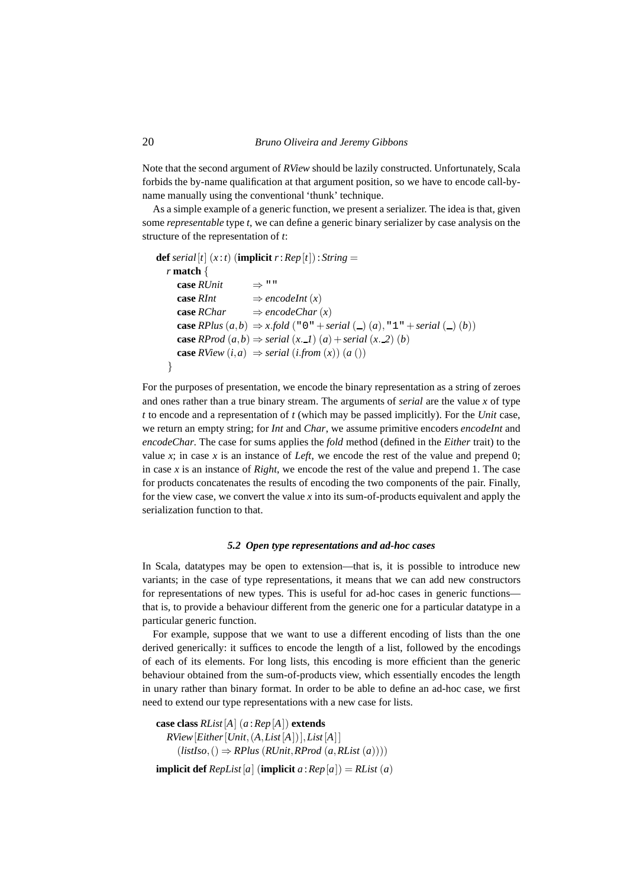Note that the second argument of *RView* should be lazily constructed. Unfortunately, Scala forbids the by-name qualification at that argument position, so we have to encode call-byname manually using the conventional 'thunk' technique.

As a simple example of a generic function, we present a serializer. The idea is that, given some *representable* type *t*, we can define a generic binary serializer by case analysis on the structure of the representation of *t*:

```
def serial[t] (x:t) (implicit r: Rep[t]): String =
   r match {
      case \frac{R}{\cdot} i \Rightarrow ""
      case RInt \Rightarrow encodeInt (x)
      case RChar \Rightarrow encodeChar(x)case RPlus (a,b) \Rightarrow x,fold (\text{``0''} + \text{serial } (\_) (a), \text{''1''} + \text{serial } (\_) (b))case RProd (a,b) \Rightarrow serial (x.1)(a) + serial (x.2)(b)case RView (i, a) \Rightarrow serial (ifrom (x)) (a ())}
```
For the purposes of presentation, we encode the binary representation as a string of zeroes and ones rather than a true binary stream. The arguments of *serial* are the value *x* of type *t* to encode and a representation of *t* (which may be passed implicitly). For the *Unit* case, we return an empty string; for *Int* and *Char*, we assume primitive encoders *encodeInt* and *encodeChar*. The case for sums applies the *fold* method (defined in the *Either* trait) to the value *x*; in case *x* is an instance of *Left*, we encode the rest of the value and prepend 0; in case *x* is an instance of *Right*, we encode the rest of the value and prepend 1. The case for products concatenates the results of encoding the two components of the pair. Finally, for the view case, we convert the value *x* into its sum-of-products equivalent and apply the serialization function to that.

### *5.2 Open type representations and ad-hoc cases*

In Scala, datatypes may be open to extension—that is, it is possible to introduce new variants; in the case of type representations, it means that we can add new constructors for representations of new types. This is useful for ad-hoc cases in generic functions that is, to provide a behaviour different from the generic one for a particular datatype in a particular generic function.

For example, suppose that we want to use a different encoding of lists than the one derived generically: it suffices to encode the length of a list, followed by the encodings of each of its elements. For long lists, this encoding is more efficient than the generic behaviour obtained from the sum-of-products view, which essentially encodes the length in unary rather than binary format. In order to be able to define an ad-hoc case, we first need to extend our type representations with a new case for lists.

**case class** *RList*[*A*] (*a* :*Rep*[*A*]) **extends** *RView*[*Either*[*Unit*,(*A*,*List*[*A*])],*List* [*A*]]  $(listIso,() \Rightarrow RPlus (RUnit, RProd (a, RList (a))))$ **implicit def**  $RepList[a]$  (**implicit**  $a$  :  $Rep[a]$ ) =  $RList(a)$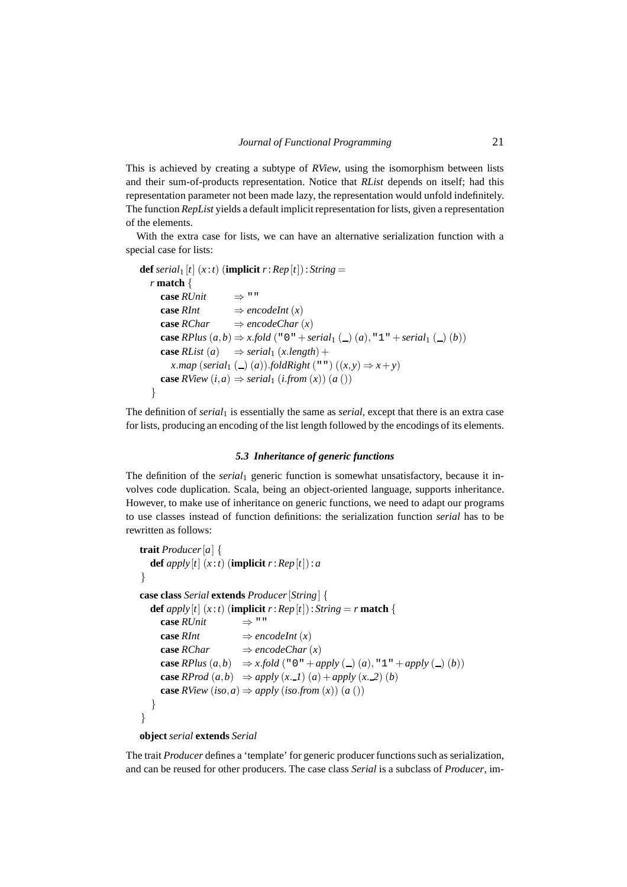This is achieved by creating a subtype of *RView*, using the isomorphism between lists and their sum-of-products representation. Notice that *RList* depends on itself; had this representation parameter not been made lazy, the representation would unfold indefinitely. The function *RepList* yields a default implicit representation for lists, given a representation of the elements.

With the extra case for lists, we can have an alternative serialization function with a special case for lists:

```
def serial<sub>1</sub> [t] (x:t) (implicit r: Rep[t]): String =
   r match {
       case \frac{RUnit}{=} \Rightarrow ""
       \csc{base} RInt \Rightarrow \sec{od}elnt(x)case RChar \Rightarrow encodeChar(x)case RPlus (a,b) \Rightarrow x,fold ("0" + serial<sub>1</sub> (_) (a), "1" + serial<sub>1</sub> (_) (b))
       \cose RList(a) \Rightarrow serial_1(x.length) +x.map (serial<sub>1</sub> (_)(a)).foldRight ("") ((x,y) \Rightarrow x + y)
       case RView (i, a) \Rightarrow</math> <i>serial</i><sub>1</sub> <math>(i</math><i>.from</i> <math>(x)</math><sub>1</sub><math>)(a()</math>}
```
The definition of *serial*<sub>1</sub> is essentially the same as *serial*, except that there is an extra case for lists, producing an encoding of the list length followed by the encodings of its elements.

# *5.3 Inheritance of generic functions*

The definition of the *serial*<sup>1</sup> generic function is somewhat unsatisfactory, because it involves code duplication. Scala, being an object-oriented language, supports inheritance. However, to make use of inheritance on generic functions, we need to adapt our programs to use classes instead of function definitions: the serialization function *serial* has to be rewritten as follows:

```
trait Producer[a] {
  def apply[t](x:t) (implicit r:Rep[t]) : a}
case class Serial extends Producer[String] {
  def apply[t] (x : t) (implicit r : Rep[t]): String = r match {
     case \text{RUnit} \Rightarrow ""
     \csc{base} RInt \Rightarrow encodeInt (x)
     case RChar \Rightarrow encodeChar(x)case RPlus (a,b) \Rightarrow x.fold ( "0" + apply ( ) (a), "1" + apply ( ) (b))
     case RProd (a,b) \Rightarrow apply(x,1)(a) + apply(x,2)(b)case RView (iso,a) \Rightarrow apply (iso.from (x)) (a ())
  }
}
```

```
object serial extends Serial
```
The trait *Producer* defines a 'template' for generic producer functions such as serialization, and can be reused for other producers. The case class *Serial* is a subclass of *Producer*, im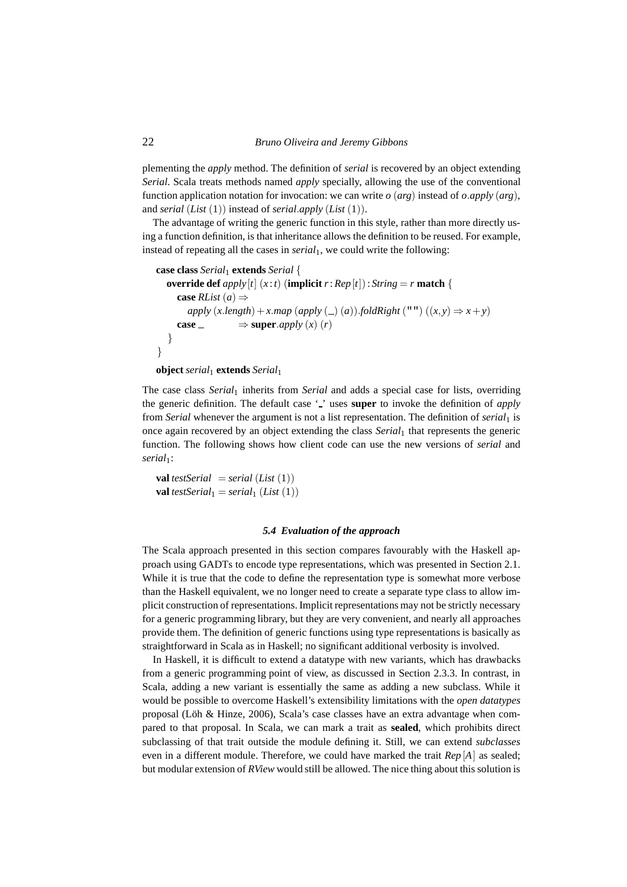plementing the *apply* method. The definition of *serial* is recovered by an object extending *Serial*. Scala treats methods named *apply* specially, allowing the use of the conventional function application notation for invocation: we can write *o* (*arg*) instead of *o*.*apply* (*arg*), and *serial* (*List* (1)) instead of *serial*.*apply* (*List* (1)).

The advantage of writing the generic function in this style, rather than more directly using a function definition, is that inheritance allows the definition to be reused. For example, instead of repeating all the cases in *serial*<sub>1</sub>, we could write the following:

```
case class Serial1 extends Serial {
   override def apply[t] (x : t) (implicit r : Rep[t]): String = r match {
      case RList (a) \Rightarrowapply (x.length) + xmap (apply \left(\_\right) \left(\frac{a}{b}\right).foldRight ("") \left(\frac{x}{y}\right) \Rightarrow x+y\case \_\rightarrow \textbf{super}.apply(x)(r)}
}
```

```
object serial1 extends Serial1
```
The case class *Serial*<sub>1</sub> inherits from *Serial* and adds a special case for lists, overriding the generic definition. The default case ' ' uses **super** to invoke the definition of *apply* from *Serial* whenever the argument is not a list representation. The definition of *serial*<sup>1</sup> is once again recovered by an object extending the class *Serial*<sup>1</sup> that represents the generic function. The following shows how client code can use the new versions of *serial* and *serial*1:

**val** *testSerial* = *serial*  $(List(1))$ **val** *testSerial*<sub>1</sub> = *serial*<sub>1</sub> (*List* (1))

#### *5.4 Evaluation of the approach*

The Scala approach presented in this section compares favourably with the Haskell approach using GADTs to encode type representations, which was presented in Section 2.1. While it is true that the code to define the representation type is somewhat more verbose than the Haskell equivalent, we no longer need to create a separate type class to allow implicit construction of representations. Implicit representations may not be strictly necessary for a generic programming library, but they are very convenient, and nearly all approaches provide them. The definition of generic functions using type representations is basically as straightforward in Scala as in Haskell; no significant additional verbosity is involved.

In Haskell, it is difficult to extend a datatype with new variants, which has drawbacks from a generic programming point of view, as discussed in Section 2.3.3. In contrast, in Scala, adding a new variant is essentially the same as adding a new subclass. While it would be possible to overcome Haskell's extensibility limitations with the *open datatypes* proposal (Löh & Hinze, 2006), Scala's case classes have an extra advantage when compared to that proposal. In Scala, we can mark a trait as **sealed**, which prohibits direct subclassing of that trait outside the module defining it. Still, we can extend *subclasses* even in a different module. Therefore, we could have marked the trait *Rep* [*A*] as sealed; but modular extension of *RView* would still be allowed. The nice thing about this solution is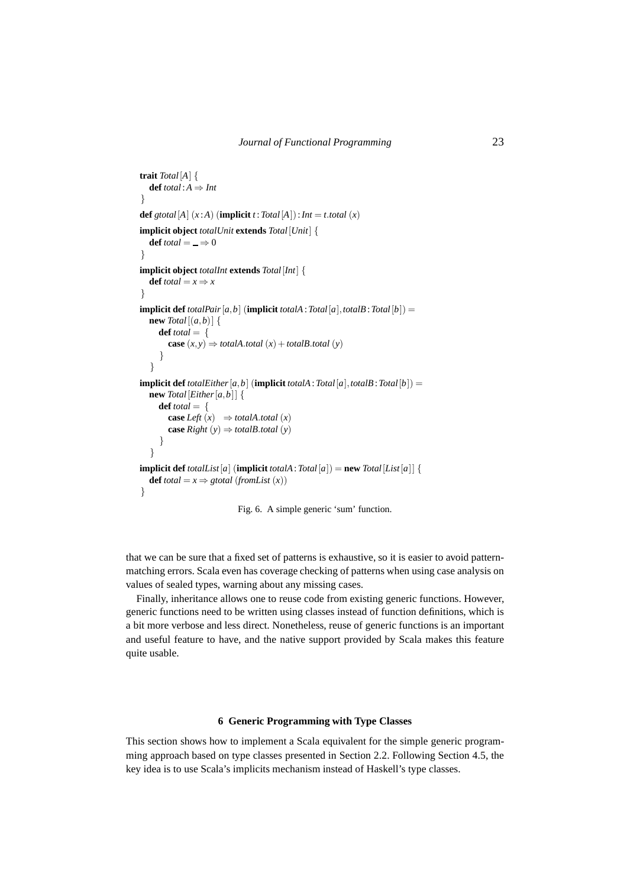```
trait Total[A] {
   def total :A ⇒ Int
}
def \text{gtotal}[A] (x:A) (implicit t: \text{Total}[A]): \text{Int} = t.\text{total}(x)implicit object totalUnit extends Total[Unit] {
   def total = \Rightarrow 0
}
implicit object totalInt extends Total[Int] {
   def total = x \Rightarrow x}
implicit def totalPair[a, b] (implicit totalA: Total[a], totalB: Total[b]) =
  new Total[(a,b)] {
     def total = \{case (x, y) \Rightarrow totalA.total (x) + totalB.total (y)}
   }
implicit def totalEither [a,b] (implicit totalA: Total[a], totalB: Total[b]) =
   \textbf{new} Total [Either[a,b]] {
     def total = {
        case Left (x) \Rightarrow totalA.total (x)case Right(y) \Rightarrow totalB. total(y)}
   }
implicit def totalList[a] (implicit totalA: Total[a]) = new Total[List[a]] {
   def total = x \Rightarrow gtotal (fromList (x))
}
```


that we can be sure that a fixed set of patterns is exhaustive, so it is easier to avoid patternmatching errors. Scala even has coverage checking of patterns when using case analysis on values of sealed types, warning about any missing cases.

Finally, inheritance allows one to reuse code from existing generic functions. However, generic functions need to be written using classes instead of function definitions, which is a bit more verbose and less direct. Nonetheless, reuse of generic functions is an important and useful feature to have, and the native support provided by Scala makes this feature quite usable.

# **6 Generic Programming with Type Classes**

This section shows how to implement a Scala equivalent for the simple generic programming approach based on type classes presented in Section 2.2. Following Section 4.5, the key idea is to use Scala's implicits mechanism instead of Haskell's type classes.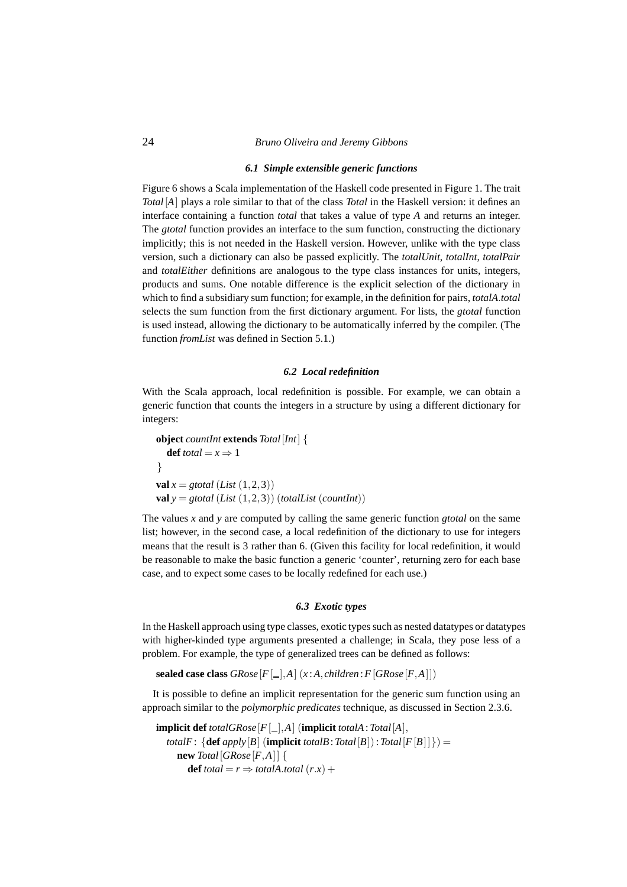# *6.1 Simple extensible generic functions*

Figure 6 shows a Scala implementation of the Haskell code presented in Figure 1. The trait *Total*[*A*] plays a role similar to that of the class *Total* in the Haskell version: it defines an interface containing a function *total* that takes a value of type *A* and returns an integer. The *gtotal* function provides an interface to the sum function, constructing the dictionary implicitly; this is not needed in the Haskell version. However, unlike with the type class version, such a dictionary can also be passed explicitly. The *totalUnit*, *totalInt*, *totalPair* and *totalEither* definitions are analogous to the type class instances for units, integers, products and sums. One notable difference is the explicit selection of the dictionary in which to find a subsidiary sum function; for example, in the definition for pairs, *totalA*.*total* selects the sum function from the first dictionary argument. For lists, the *gtotal* function is used instead, allowing the dictionary to be automatically inferred by the compiler. (The function *fromList* was defined in Section 5.1.)

# *6.2 Local redefinition*

With the Scala approach, local redefinition is possible. For example, we can obtain a generic function that counts the integers in a structure by using a different dictionary for integers:

**object** *countInt* **extends** *Total*[*Int*] { **def** *total* =  $x \Rightarrow 1$ } **val**  $x =$  *gtotal* (*List* (1,2,3)) **val**  $y =$  *gtotal* (*List* (1,2,3)) (*totalList* (*countInt*))

The values *x* and *y* are computed by calling the same generic function *gtotal* on the same list; however, in the second case, a local redefinition of the dictionary to use for integers means that the result is 3 rather than 6. (Given this facility for local redefinition, it would be reasonable to make the basic function a generic 'counter', returning zero for each base case, and to expect some cases to be locally redefined for each use.)

# *6.3 Exotic types*

In the Haskell approach using type classes, exotic types such as nested datatypes or datatypes with higher-kinded type arguments presented a challenge; in Scala, they pose less of a problem. For example, the type of generalized trees can be defined as follows:

**sealed case class**  $GRose[F[\_],A]$  ( $x:A, children: F[GRose[F,A]])$ 

It is possible to define an implicit representation for the generic sum function using an approach similar to the *polymorphic predicates* technique, as discussed in Section 2.3.6.

```
implicit def totalGRose[F[ ],A] (implicit totalA: Total[A],
  totalF : \{def apply[B] (implicit totalB: Total[B]): Total[F[B]]\}) =\textbf{new} Total [GRose [F,A]] {
        def total = r \Rightarrow totalA.total (r.x) +
```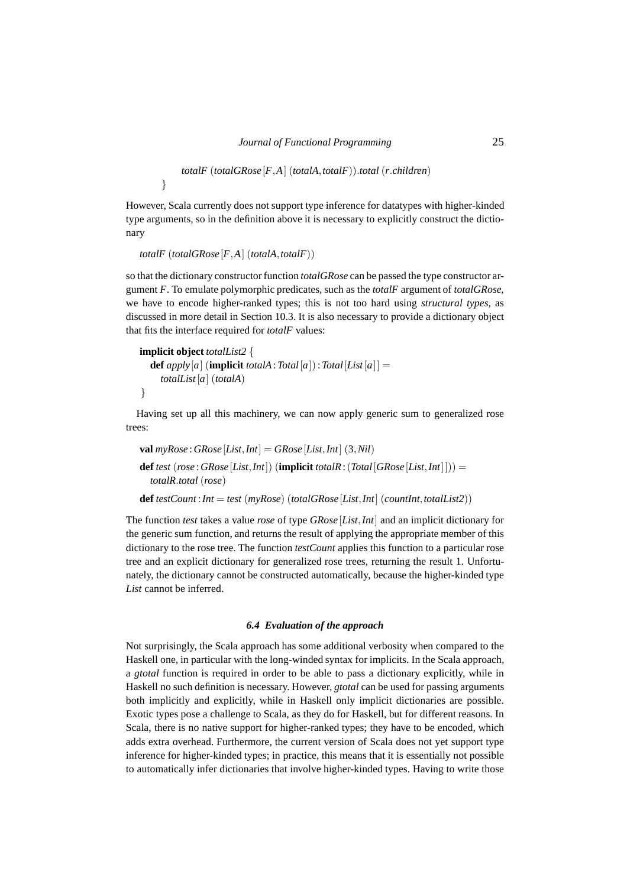$$
totalF (totalGRose [F,A] (totalA, totalF)). total (r. children)
$$

However, Scala currently does not support type inference for datatypes with higher-kinded type arguments, so in the definition above it is necessary to explicitly construct the dictionary

```
totalF (totalGRose[F,A] (totalA,totalF))
```
}

so that the dictionary constructor function *totalGRose* can be passed the type constructor argument *F*. To emulate polymorphic predicates, such as the *totalF* argument of *totalGRose*, we have to encode higher-ranked types; this is not too hard using *structural types*, as discussed in more detail in Section 10.3. It is also necessary to provide a dictionary object that fits the interface required for *totalF* values:

```
implicit object totalList2 {
  def apply[a] (implicit totalA: Total[a]): Total[List[a]] =totalList[a] (totalA)
}
```
Having set up all this machinery, we can now apply generic sum to generalized rose trees:

```
{\bf val} myRose : GRose [List,Int] = GRose [List,Int] (3,Nil)
def test (rose : GRose [List,Int]) (implicit totalR: (Total [GRose [List,Int]])) =
  totalR.total (rose)
```
**def** *testCount* :*Int* = *test* (*myRose*) (*totalGRose*[*List*,*Int*] (*countInt*,*totalList2*))

The function *test* takes a value *rose* of type *GRose* [*List*,*Int*] and an implicit dictionary for the generic sum function, and returns the result of applying the appropriate member of this dictionary to the rose tree. The function *testCount* applies this function to a particular rose tree and an explicit dictionary for generalized rose trees, returning the result 1. Unfortunately, the dictionary cannot be constructed automatically, because the higher-kinded type *List* cannot be inferred.

### *6.4 Evaluation of the approach*

Not surprisingly, the Scala approach has some additional verbosity when compared to the Haskell one, in particular with the long-winded syntax for implicits. In the Scala approach, a *gtotal* function is required in order to be able to pass a dictionary explicitly, while in Haskell no such definition is necessary. However, *gtotal* can be used for passing arguments both implicitly and explicitly, while in Haskell only implicit dictionaries are possible. Exotic types pose a challenge to Scala, as they do for Haskell, but for different reasons. In Scala, there is no native support for higher-ranked types; they have to be encoded, which adds extra overhead. Furthermore, the current version of Scala does not yet support type inference for higher-kinded types; in practice, this means that it is essentially not possible to automatically infer dictionaries that involve higher-kinded types. Having to write those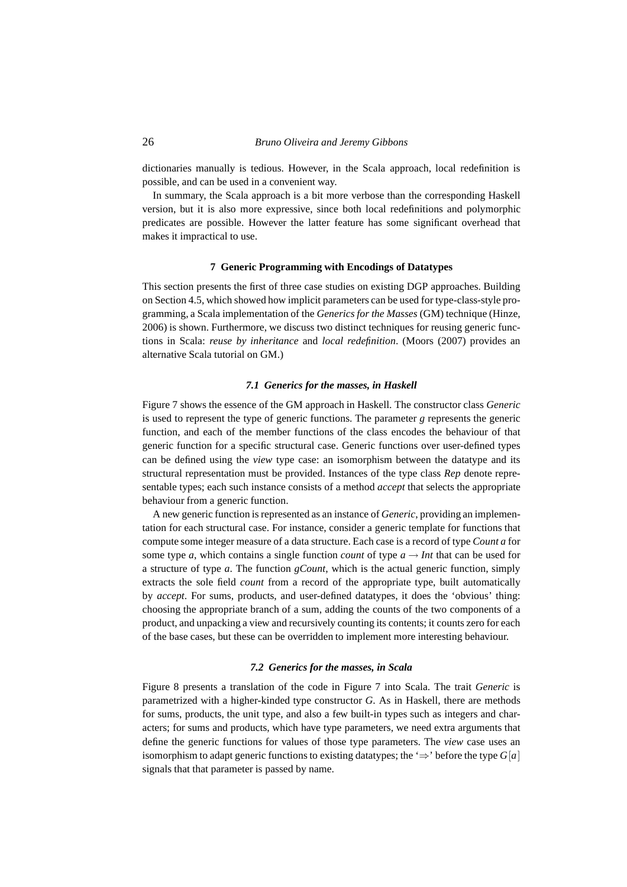dictionaries manually is tedious. However, in the Scala approach, local redefinition is possible, and can be used in a convenient way.

In summary, the Scala approach is a bit more verbose than the corresponding Haskell version, but it is also more expressive, since both local redefinitions and polymorphic predicates are possible. However the latter feature has some significant overhead that makes it impractical to use.

#### **7 Generic Programming with Encodings of Datatypes**

This section presents the first of three case studies on existing DGP approaches. Building on Section 4.5, which showed how implicit parameters can be used for type-class-style programming, a Scala implementation of the *Generics for the Masses* (GM) technique (Hinze, 2006) is shown. Furthermore, we discuss two distinct techniques for reusing generic functions in Scala: *reuse by inheritance* and *local redefinition*. (Moors (2007) provides an alternative Scala tutorial on GM.)

# *7.1 Generics for the masses, in Haskell*

Figure 7 shows the essence of the GM approach in Haskell. The constructor class *Generic* is used to represent the type of generic functions. The parameter *g* represents the generic function, and each of the member functions of the class encodes the behaviour of that generic function for a specific structural case. Generic functions over user-defined types can be defined using the *view* type case: an isomorphism between the datatype and its structural representation must be provided. Instances of the type class *Rep* denote representable types; each such instance consists of a method *accept* that selects the appropriate behaviour from a generic function.

A new generic function is represented as an instance of *Generic*, providing an implementation for each structural case. For instance, consider a generic template for functions that compute some integer measure of a data structure. Each case is a record of type *Count a* for some type *a*, which contains a single function *count* of type  $a \rightarrow Int$  that can be used for a structure of type *a*. The function *gCount*, which is the actual generic function, simply extracts the sole field *count* from a record of the appropriate type, built automatically by *accept*. For sums, products, and user-defined datatypes, it does the 'obvious' thing: choosing the appropriate branch of a sum, adding the counts of the two components of a product, and unpacking a view and recursively counting its contents; it counts zero for each of the base cases, but these can be overridden to implement more interesting behaviour.

# *7.2 Generics for the masses, in Scala*

Figure 8 presents a translation of the code in Figure 7 into Scala. The trait *Generic* is parametrized with a higher-kinded type constructor *G*. As in Haskell, there are methods for sums, products, the unit type, and also a few built-in types such as integers and characters; for sums and products, which have type parameters, we need extra arguments that define the generic functions for values of those type parameters. The *view* case uses an isomorphism to adapt generic functions to existing datatypes; the ' $\Rightarrow$ ' before the type *G*[*a*] signals that that parameter is passed by name.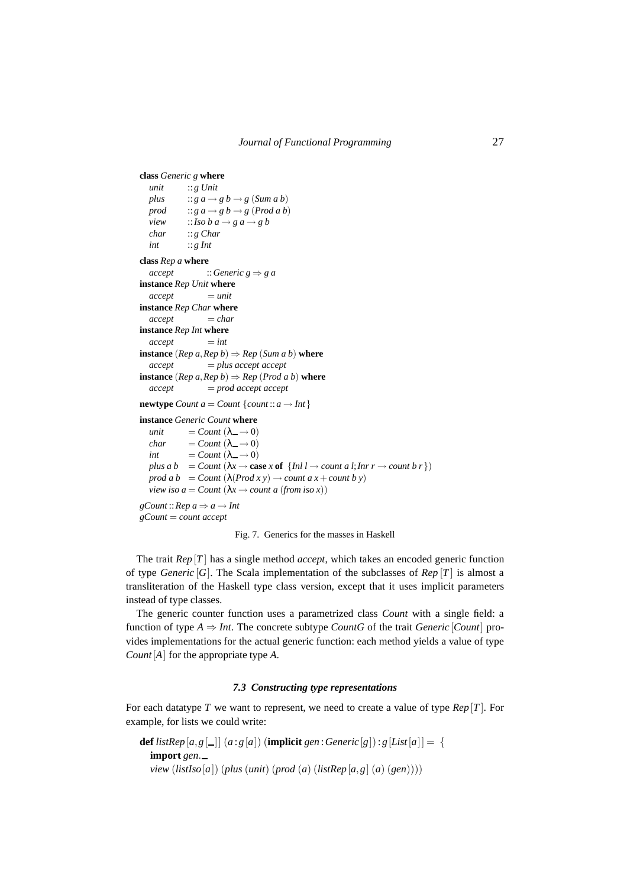```
class Generic g where
   unit :: g Unit
  plus :: g a \rightarrow g b \rightarrow g (Sum a b)prod :: g a \rightarrow g b \rightarrow g (Prod a b)view ::Iso b a \rightarrow g a \rightarrow g b
   char :: g Char
   int :: g Int
class Rep a where
   accept ::Generic g \Rightarrow g a
instance Rep Unit where
  \begin{array}{rcl} \textit{accept} & = \textit{unit} \end{array}instance Rep Char where
  accept = char
instance Rep Int where
  accept = intinstance (Rep a, Rep b) \Rightarrow Rep (Sum a b) where
  accept = plus accept accept
instance (Rep a, Rep b) \Rightarrow Rep (Prod a b) where
  accept = prod accept accept
newtype Count a = Count \{count : : a \rightarrow Int\}instance Generic Count where
  unit = Count(\lambda \rightarrow 0)char = Count (\lambda \rightarrow 0)
  int = Count (\lambda \rightarrow 0)
  plus a b = Count (\lambda x \rightarrow \textbf{case} \ x \textbf{ of } \ \{Inl \ l \rightarrow count \ a \ l; Inr \ r \rightarrow count \ b \ r\})prod a b = Count (\lambda (Prod x y) \rightarrow count a x + count b y)view iso a = Count (\lambda x \rightarrow count a (from iso x))
gCount :: Rep a \Rightarrow a \rightarrow IntgCount = count accept
```
Fig. 7. Generics for the masses in Haskell

The trait *Rep* [*T* ] has a single method *accept*, which takes an encoded generic function of type *Generic* [*G*]. The Scala implementation of the subclasses of *Rep* [*T*] is almost a transliteration of the Haskell type class version, except that it uses implicit parameters instead of type classes.

The generic counter function uses a parametrized class *Count* with a single field: a function of type  $A \Rightarrow Int$ . The concrete subtype *CountG* of the trait *Generic* [*Count*] provides implementations for the actual generic function: each method yields a value of type *Count*[*A*] for the appropriate type *A*.

# *7.3 Constructing type representations*

For each datatype *T* we want to represent, we need to create a value of type *Rep* [*T* ]. For example, for lists we could write:

**def** listRep[ $a, g$ [ $\Box$ ] ( $a : g$ [ $a$ ]) (**implicit**  $gen : Generic[g]$ ):  $g$ [ $List[a]$ ] = { **import** *gen*. *view* (*listIso*[*a*]) (*plus* (*unit*) (*prod* (*a*) (*listRep*[*a*,*g*] (*a*) (*gen*))))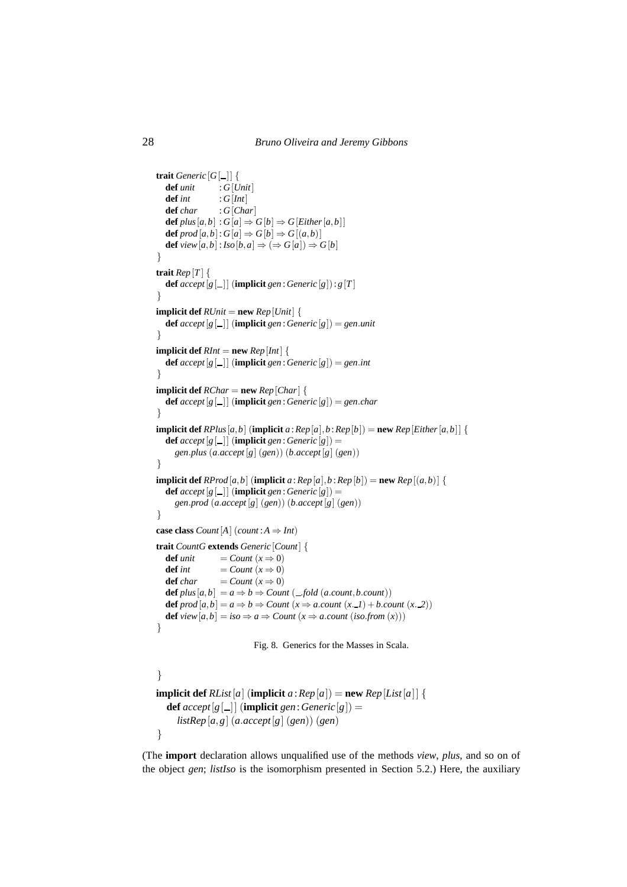```
trait Generic [G[-]] {
  def unit : G[Unit]
  def int : G[Int]def char : G[Char]
  def plus[a,b] : G[a] \Rightarrow G[b] \Rightarrow G[Either[a,b]]def \text{prod}[a,b]: G[a] \Rightarrow G[b] \Rightarrow G[(a,b)]def view[a,b] : Iso[b,a] \Rightarrow (\Rightarrow G[a]) \Rightarrow G[b]}
trait Rep[T ] {
  def accept[g[-]] (implicit gen: Generic[g]): g[T]}
implicit def RUnit = new Rep[Unit] {
  def accept[g[-]] (implicit gen: Generic[g]) = gen.}
implicit def RInt = \textbf{new} Rep[Int] {
  def accept[g[-]] (implicit gen: Generic[g]) = gen.int}
implicit def RChar = new Rep[Char] {
  def accept[g[\_] (implicit gen: Generic[g]) = gen(char}
implicit def RPlus[a, b] (implicit a: Rep[a], b: Rep[b]) = new Rep[Either[a, b]] {
  def accept[g[\_] (implicit gen: Generic[g]) =gen.plus (a.accept [g] (gen)) (b.accept [g] (gen))
}
implicit def RProd[a,b] (implicit a:Rep[a], b:Rep[b]) = \textbf{new} Rep[(a,b)] {
  def accept[g[-]] (implicit gen: Generic[g]) =gen.prod (a.accept [g] (gen)) (b.accept [g] (gen))
}
case class Count [A] (count : A \Rightarrow Int)
trait CountG extends Generic [Count] {
  def unit = Count (x \Rightarrow 0)
  def int = Count (x \Rightarrow 0)
  def char = Count (x \Rightarrow 0)
  def plus[a,b] = a \Rightarrow b \Rightarrow Count(\_\_fold(a.count,b.count))def \text{prod}[a,b] = a \Rightarrow b \Rightarrow \text{Count}(x \Rightarrow a \text{.count}(x \cdot a) + b \text{.count}(x \cdot a))def view[a,b] = iso \Rightarrow a \Rightarrow Count(x \Rightarrow a.count(isofrom(x)))}
                            Fig. 8. Generics for the Masses in Scala.
}
implicit def RList[a] (implicit a : Rep[a]) = \textbf{new} Rep[List[a]] {
  def accept[g[-]] (implicit gen: Generic[g]) =listRep[a,g] (a.accept[g] (gen)) (gen)
```
(The **import** declaration allows unqualified use of the methods *view*, *plus*, and so on of the object *gen*; *listIso* is the isomorphism presented in Section 5.2.) Here, the auxiliary

}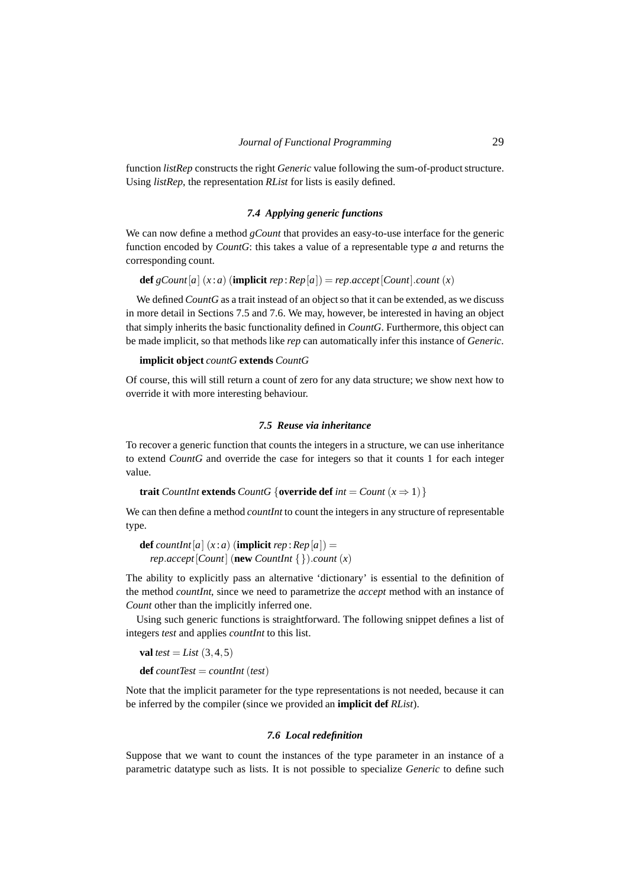function *listRep* constructs the right *Generic* value following the sum-of-product structure. Using *listRep*, the representation *RList* for lists is easily defined.

# *7.4 Applying generic functions*

We can now define a method *gCount* that provides an easy-to-use interface for the generic function encoded by *CountG*: this takes a value of a representable type *a* and returns the corresponding count.

**def**  $gCount[a]$   $(x : a)$  (**implicit**  $rep : Rep[a]) = rep \mathit{.}accept[Count] \mathit{.}count(x)$ 

We defined *CountG* as a trait instead of an object so that it can be extended, as we discuss in more detail in Sections 7.5 and 7.6. We may, however, be interested in having an object that simply inherits the basic functionality defined in *CountG*. Furthermore, this object can be made implicit, so that methods like *rep* can automatically infer this instance of *Generic*.

#### **implicit object** *countG* **extends** *CountG*

Of course, this will still return a count of zero for any data structure; we show next how to override it with more interesting behaviour.

#### *7.5 Reuse via inheritance*

To recover a generic function that counts the integers in a structure, we can use inheritance to extend *CountG* and override the case for integers so that it counts 1 for each integer value.

```
trait CountInt extends CountG { override def int = Count(x \Rightarrow 1) }
```
We can then define a method *countInt* to count the integers in any structure of representable type.

**def** *countInt*[ $a$ ] ( $x : a$ ) (**implicit**  $rep : Rep[a]) =$ *rep*.*accept*[*Count*] (**new** *CountInt* {}).*count* (*x*)

The ability to explicitly pass an alternative 'dictionary' is essential to the definition of the method *countInt*, since we need to parametrize the *accept* method with an instance of *Count* other than the implicitly inferred one.

Using such generic functions is straightforward. The following snippet defines a list of integers *test* and applies *countInt* to this list.

**val**  $test = List(3, 4, 5)$ 

**def** *countTest* = *countInt* (*test*)

Note that the implicit parameter for the type representations is not needed, because it can be inferred by the compiler (since we provided an **implicit def** *RList*).

# *7.6 Local redefinition*

Suppose that we want to count the instances of the type parameter in an instance of a parametric datatype such as lists. It is not possible to specialize *Generic* to define such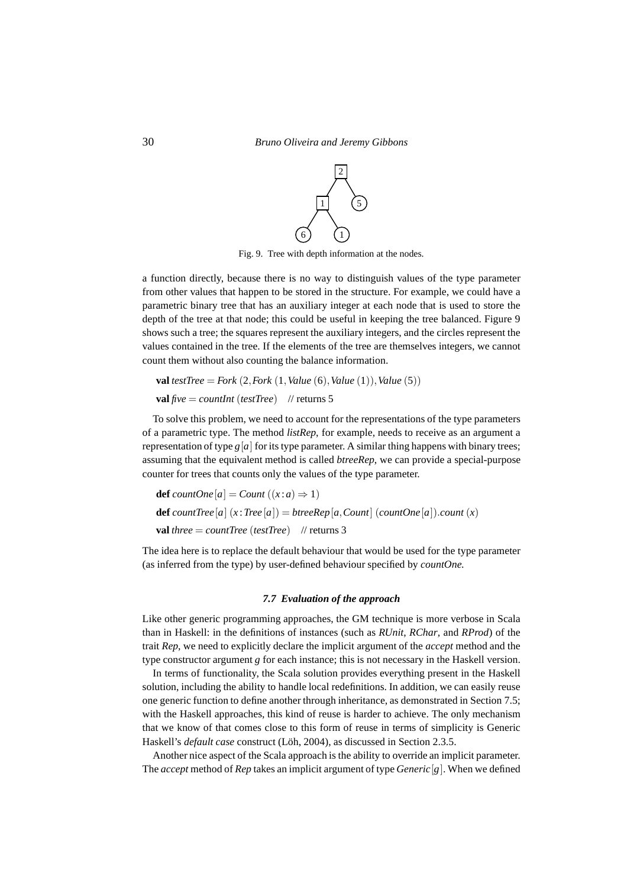

Fig. 9. Tree with depth information at the nodes.

a function directly, because there is no way to distinguish values of the type parameter from other values that happen to be stored in the structure. For example, we could have a parametric binary tree that has an auxiliary integer at each node that is used to store the depth of the tree at that node; this could be useful in keeping the tree balanced. Figure 9 shows such a tree; the squares represent the auxiliary integers, and the circles represent the values contained in the tree. If the elements of the tree are themselves integers, we cannot count them without also counting the balance information.

```
val testTree = Fork (2, Fork (1, Value (6), Value (1)), Value (5))val \hat{h}ve = countInt(\text{testTree}) // returns 5
```
To solve this problem, we need to account for the representations of the type parameters of a parametric type. The method *listRep*, for example, needs to receive as an argument a representation of type  $g[a]$  for its type parameter. A similar thing happens with binary trees; assuming that the equivalent method is called *btreeRep*, we can provide a special-purpose counter for trees that counts only the values of the type parameter.

```
def countOne[a] = Count((x : a) \Rightarrow 1)def countTree[a] (x :Tree[a]) = btreeRep[a,Count] (countOne[a]).count (x)
val three = countTree (testTree) // returns 3
```
The idea here is to replace the default behaviour that would be used for the type parameter (as inferred from the type) by user-defined behaviour specified by *countOne*.

# *7.7 Evaluation of the approach*

Like other generic programming approaches, the GM technique is more verbose in Scala than in Haskell: in the definitions of instances (such as *RUnit*, *RChar*, and *RProd*) of the trait *Rep*, we need to explicitly declare the implicit argument of the *accept* method and the type constructor argument *g* for each instance; this is not necessary in the Haskell version.

In terms of functionality, the Scala solution provides everything present in the Haskell solution, including the ability to handle local redefinitions. In addition, we can easily reuse one generic function to define another through inheritance, as demonstrated in Section 7.5; with the Haskell approaches, this kind of reuse is harder to achieve. The only mechanism that we know of that comes close to this form of reuse in terms of simplicity is Generic Haskell's *default case* construct (Löh, 2004), as discussed in Section 2.3.5.

Another nice aspect of the Scala approach is the ability to override an implicit parameter. The *accept* method of *Rep* takes an implicit argument of type *Generic*[*g*]. When we defined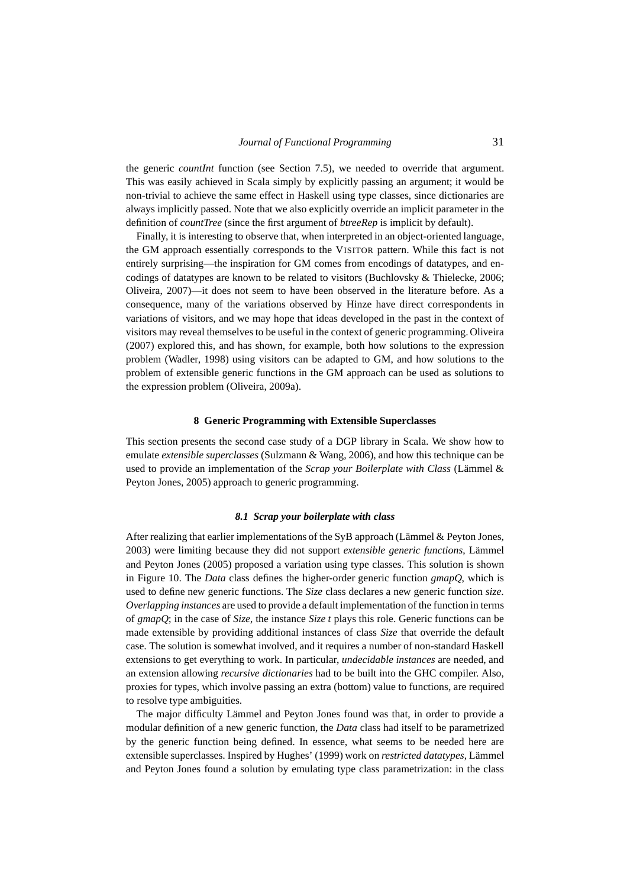the generic *countInt* function (see Section 7.5), we needed to override that argument. This was easily achieved in Scala simply by explicitly passing an argument; it would be non-trivial to achieve the same effect in Haskell using type classes, since dictionaries are always implicitly passed. Note that we also explicitly override an implicit parameter in the definition of *countTree* (since the first argument of *btreeRep* is implicit by default).

Finally, it is interesting to observe that, when interpreted in an object-oriented language, the GM approach essentially corresponds to the VISITOR pattern. While this fact is not entirely surprising—the inspiration for GM comes from encodings of datatypes, and encodings of datatypes are known to be related to visitors (Buchlovsky & Thielecke, 2006; Oliveira, 2007)—it does not seem to have been observed in the literature before. As a consequence, many of the variations observed by Hinze have direct correspondents in variations of visitors, and we may hope that ideas developed in the past in the context of visitors may reveal themselves to be useful in the context of generic programming. Oliveira (2007) explored this, and has shown, for example, both how solutions to the expression problem (Wadler, 1998) using visitors can be adapted to GM, and how solutions to the problem of extensible generic functions in the GM approach can be used as solutions to the expression problem (Oliveira, 2009a).

# **8 Generic Programming with Extensible Superclasses**

This section presents the second case study of a DGP library in Scala. We show how to emulate *extensible superclasses* (Sulzmann & Wang, 2006), and how this technique can be used to provide an implementation of the *Scrap your Boilerplate with Class* (Lämmel & Peyton Jones, 2005) approach to generic programming.

#### *8.1 Scrap your boilerplate with class*

After realizing that earlier implementations of the SyB approach (Lämmel  $&$  Peyton Jones, 2003) were limiting because they did not support *extensible generic functions*, Lämmel and Peyton Jones (2005) proposed a variation using type classes. This solution is shown in Figure 10. The *Data* class defines the higher-order generic function *gmapQ*, which is used to define new generic functions. The *Size* class declares a new generic function *size*. *Overlapping instances* are used to provide a default implementation of the function in terms of *gmapQ*; in the case of *Size*, the instance *Size t* plays this role. Generic functions can be made extensible by providing additional instances of class *Size* that override the default case. The solution is somewhat involved, and it requires a number of non-standard Haskell extensions to get everything to work. In particular, *undecidable instances* are needed, and an extension allowing *recursive dictionaries* had to be built into the GHC compiler. Also, proxies for types, which involve passing an extra (bottom) value to functions, are required to resolve type ambiguities.

The major difficulty Lämmel and Peyton Jones found was that, in order to provide a modular definition of a new generic function, the *Data* class had itself to be parametrized by the generic function being defined. In essence, what seems to be needed here are extensible superclasses. Inspired by Hughes' (1999) work on *restricted datatypes*, Lämmel and Peyton Jones found a solution by emulating type class parametrization: in the class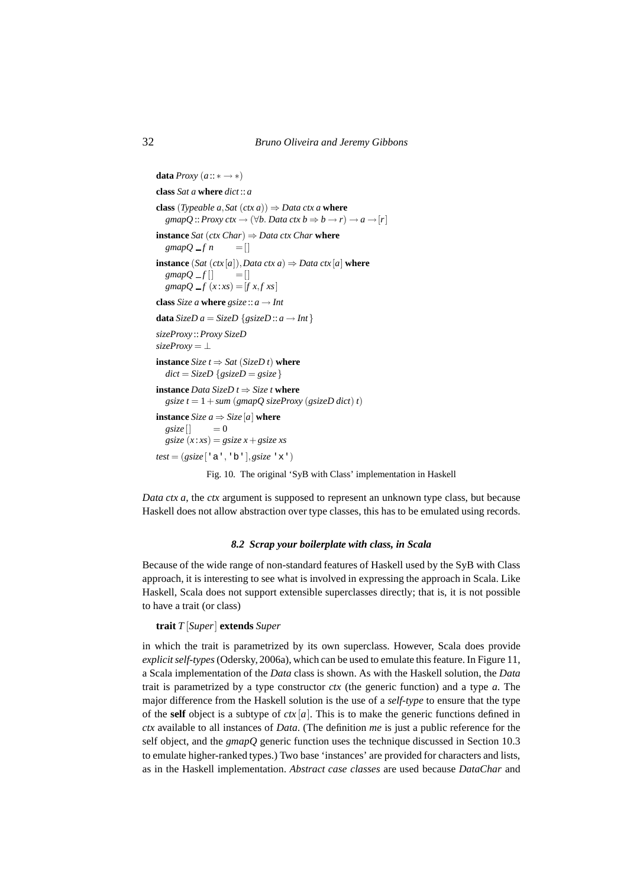32 *Bruno Oliveira and Jeremy Gibbons*

```
data Proxy (a::* \rightarrow *)class Sat a where dict :: a
class (Typeable a, Sat (ctx a)) \Rightarrow Data ctx a where
  gmapQ :: Proxy ctx \rightarrow (\forall b. Data ctx b \Rightarrow b \rightarrow r) \rightarrow a \rightarrow [r]instance Sat (ctx Char) \Rightarrow Data ctx Char where
   \text{gmap}Q_f n =[]
instance (Sat (ctx [a]), Data ctx a) \Rightarrow Data ctx [a] where
  \text{gmap}[Q - f|] = |gmapQ - f(x : xs) = [f x, f xs]class Size a where gsize :: a → Int
data SizeD a = SizeD {gsizeD :: a \rightarrow Int}
sizeProxy ::Proxy SizeD
sizeProxy = ⊥
instance Size t \Rightarrow Sat (SizeD t) where
  dict = SizeD {gsizeD = gsize}instance Data SizeD t ⇒ Size t where
   gsize t = 1 + \text{sum} (\text{gmapQ size} Proxy (\text{gsizeD dict}) t)instance Size a \Rightarrow Size [a] where
  gsize[] = 0
  gsize(x:xs) = gsize x + gsize xstest = (gsize [a', 'b'], gsize 'x')
```
Fig. 10. The original 'SyB with Class' implementation in Haskell

*Data ctx a*, the *ctx* argument is supposed to represent an unknown type class, but because Haskell does not allow abstraction over type classes, this has to be emulated using records.

# *8.2 Scrap your boilerplate with class, in Scala*

Because of the wide range of non-standard features of Haskell used by the SyB with Class approach, it is interesting to see what is involved in expressing the approach in Scala. Like Haskell, Scala does not support extensible superclasses directly; that is, it is not possible to have a trait (or class)

# **trait** *T* [*Super*] **extends** *Super*

in which the trait is parametrized by its own superclass. However, Scala does provide *explicit self-types*(Odersky, 2006a), which can be used to emulate this feature. In Figure 11, a Scala implementation of the *Data* class is shown. As with the Haskell solution, the *Data* trait is parametrized by a type constructor *ctx* (the generic function) and a type *a*. The major difference from the Haskell solution is the use of a *self-type* to ensure that the type of the **self** object is a subtype of  $ctx$  [*a*]. This is to make the generic functions defined in *ctx* available to all instances of *Data*. (The definition *me* is just a public reference for the self object, and the *gmapQ* generic function uses the technique discussed in Section 10.3 to emulate higher-ranked types.) Two base 'instances' are provided for characters and lists, as in the Haskell implementation. *Abstract case classes* are used because *DataChar* and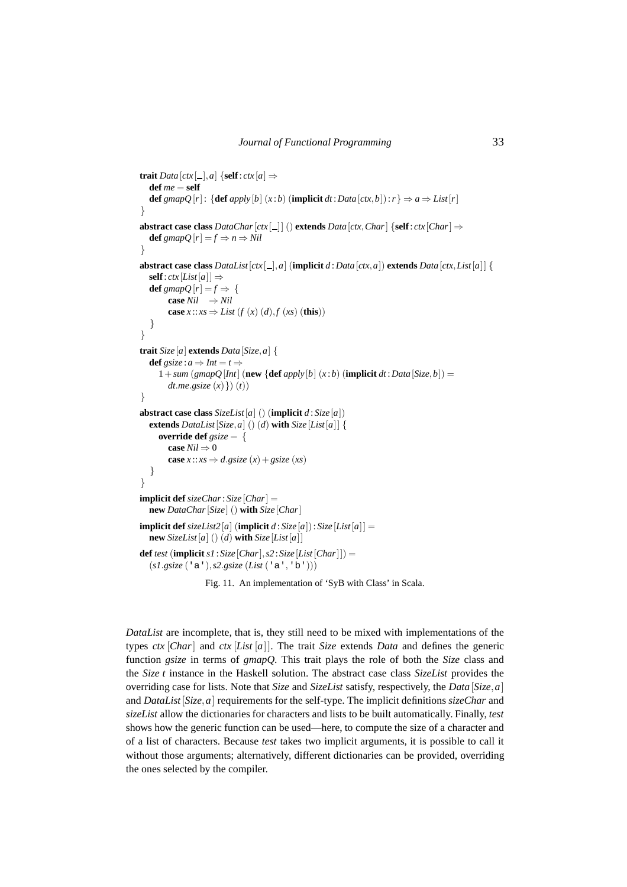```
trait Data[ctx[-], a] {self: ctx[a] \Rightarrowdef me = self
   def gmapQ[r]: {def apply [b] (x : b) (implicit dt :Data[ctx,b]):r} ⇒ a ⇒ List[r]
}
abstract case class DataChar[ctx[\_]] () extends Data[ctx, Char] {self: ctx[Char] ⇒
   def \text{gmap}Q[r] = f \Rightarrow n \Rightarrow Nil}
abstract case class DataList[ctx[\_], a] (implicit d: Data[ctx[a]] extends Data[ctx, List[a]] {
   \textbf{self}: \textit{ctx}[List[a]] \Rightarrowdef \text{gmapQ}[r] = f \Rightarrow \{case Nil ⇒ Nil
        case x::xs \Rightarrow List(f(x)(d),f(xs)(this))}
}
trait Size [a] extends Data[Size,a] {
   def gsize : a \Rightarrow Int = t \Rightarrow1 + sum(gmapQ[Int] (new {def apply [b] (x:b) (implicit dt : Data [Size,b]) =
        dt.me.gsize (x)}) (t))
}
abstract case class SizeList[a] () (implicit d : Size[a])
   extends DataList [Size, a] () (d) with Size [List [a]] {
     override def gsize = {
        case Nil ⇒ 0
        case x :: xs \Rightarrow d.gsize (x) + gsize(x)}
}
implicit def sizeChar: Size [Char] =
   new DataChar[Size] () with Size [Char]
implicit def sizeList2[a] (implicit d:Size[a]): Size[List[a]] =
   new SizeList[a] () (d) with Size [List[a]]
def test (implicit s1 : Size [Char], s2 : Size [List [Char]]) =
   (s1.gsize ('a'),s2.gsize (List ('a','b')))
```
Fig. 11. An implementation of 'SyB with Class' in Scala.

*DataList* are incomplete, that is, they still need to be mixed with implementations of the types *ctx* [*Char*] and *ctx* [*List* [*a*]]. The trait *Size* extends *Data* and defines the generic function *gsize* in terms of *gmapQ*. This trait plays the role of both the *Size* class and the *Size t* instance in the Haskell solution. The abstract case class *SizeList* provides the overriding case for lists. Note that *Size* and *SizeList* satisfy, respectively, the *Data*[*Size*,*a*] and *DataList*[*Size*,*a*] requirements for the self-type. The implicit definitions *sizeChar* and *sizeList* allow the dictionaries for characters and lists to be built automatically. Finally, *test* shows how the generic function can be used—here, to compute the size of a character and of a list of characters. Because *test* takes two implicit arguments, it is possible to call it without those arguments; alternatively, different dictionaries can be provided, overriding the ones selected by the compiler.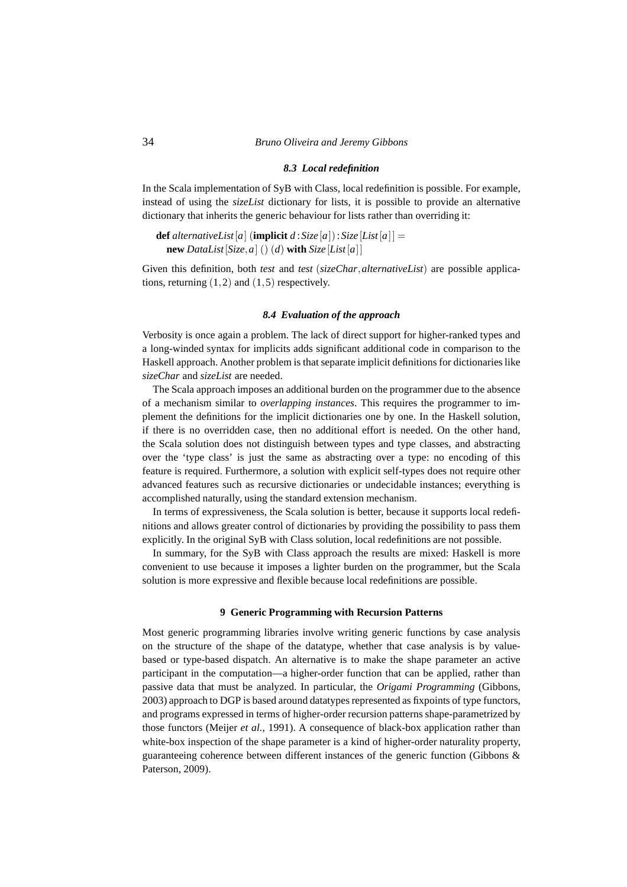# *8.3 Local redefinition*

In the Scala implementation of SyB with Class, local redefinition is possible. For example, instead of using the *sizeList* dictionary for lists, it is possible to provide an alternative dictionary that inherits the generic behaviour for lists rather than overriding it:

**def** alternativeList[*a*] (**implicit** *d* : *Size*[*a*]): *Size*[*List*[*a*]] = **new** *DataList*<sup>[*Size,a*] () (*d*) **with** *Size*<sup>[*List*[*a*]]</sup></sup>

Given this definition, both *test* and *test* (*sizeChar*,*alternativeList*) are possible applications, returning  $(1,2)$  and  $(1,5)$  respectively.

### *8.4 Evaluation of the approach*

Verbosity is once again a problem. The lack of direct support for higher-ranked types and a long-winded syntax for implicits adds significant additional code in comparison to the Haskell approach. Another problem is that separate implicit definitions for dictionaries like *sizeChar* and *sizeList* are needed.

The Scala approach imposes an additional burden on the programmer due to the absence of a mechanism similar to *overlapping instances*. This requires the programmer to implement the definitions for the implicit dictionaries one by one. In the Haskell solution, if there is no overridden case, then no additional effort is needed. On the other hand, the Scala solution does not distinguish between types and type classes, and abstracting over the 'type class' is just the same as abstracting over a type: no encoding of this feature is required. Furthermore, a solution with explicit self-types does not require other advanced features such as recursive dictionaries or undecidable instances; everything is accomplished naturally, using the standard extension mechanism.

In terms of expressiveness, the Scala solution is better, because it supports local redefinitions and allows greater control of dictionaries by providing the possibility to pass them explicitly. In the original SyB with Class solution, local redefinitions are not possible.

In summary, for the SyB with Class approach the results are mixed: Haskell is more convenient to use because it imposes a lighter burden on the programmer, but the Scala solution is more expressive and flexible because local redefinitions are possible.

# **9 Generic Programming with Recursion Patterns**

Most generic programming libraries involve writing generic functions by case analysis on the structure of the shape of the datatype, whether that case analysis is by valuebased or type-based dispatch. An alternative is to make the shape parameter an active participant in the computation—a higher-order function that can be applied, rather than passive data that must be analyzed. In particular, the *Origami Programming* (Gibbons, 2003) approach to DGP is based around datatypes represented as fixpoints of type functors, and programs expressed in terms of higher-order recursion patterns shape-parametrized by those functors (Meijer *et al.*, 1991). A consequence of black-box application rather than white-box inspection of the shape parameter is a kind of higher-order naturality property, guaranteeing coherence between different instances of the generic function (Gibbons & Paterson, 2009).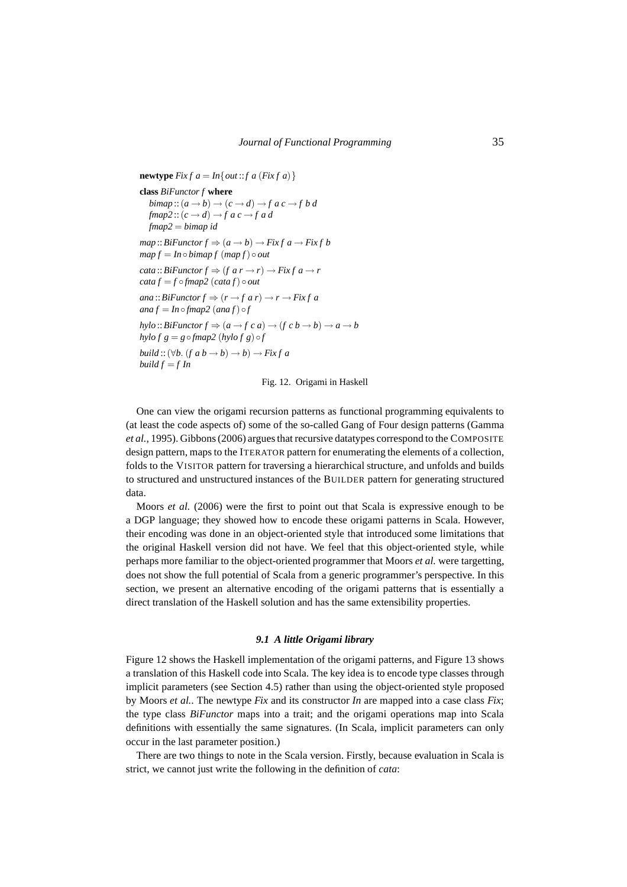**newtype**  $Fix f a = In \{ out : : f a (Fix f a) \}$ 

```
class BiFunctor f where
     bimap :: (a \rightarrow b) \rightarrow (c \rightarrow d) \rightarrow f \ a \ c \rightarrow f \ b \ dfmap2 :: (c \rightarrow d) \rightarrow f a c \rightarrow f a dfmap2 = bimap id
map :: BiFunctor f \Rightarrow (a \rightarrow b) \rightarrow Fix f \ a \rightarrow Fix f \ bmap f = In \circ bimap f (map f) \circ out\textit{cata} :: \textit{BiFunction} f \Rightarrow (f \text{ a } r \rightarrow r) \rightarrow \textit{Fix} f \text{ a } \rightarrow r\textit{cata } f = f \circ \textit{fmap2} (\textit{cata } f) \circ \textit{out}ana :: BiFunctor f \Rightarrow (r \rightarrow f \text{ a } r) \rightarrow r \rightarrow Fix f \text{ a}anaf = In \circ fmap2 (anaf) \circ fh y l o :: BiFunctor f \Rightarrow (a \rightarrow f c a) \rightarrow (f c b \rightarrow b) \rightarrow a \rightarrow bhylof g = g \circ \text{fmap2} (hylof g \circ fbuild :: (\forall b. (f \, a \, b \rightarrow b) \rightarrow b) \rightarrow Fix f \, abuild f = f In
```
Fig. 12. Origami in Haskell

One can view the origami recursion patterns as functional programming equivalents to (at least the code aspects of) some of the so-called Gang of Four design patterns (Gamma *et al.*, 1995). Gibbons (2006) argues that recursive datatypes correspond to the COMPOSITE design pattern, maps to the ITERATOR pattern for enumerating the elements of a collection, folds to the VISITOR pattern for traversing a hierarchical structure, and unfolds and builds to structured and unstructured instances of the BUILDER pattern for generating structured data.

Moors *et al.* (2006) were the first to point out that Scala is expressive enough to be a DGP language; they showed how to encode these origami patterns in Scala. However, their encoding was done in an object-oriented style that introduced some limitations that the original Haskell version did not have. We feel that this object-oriented style, while perhaps more familiar to the object-oriented programmer that Moors *et al.* were targetting, does not show the full potential of Scala from a generic programmer's perspective. In this section, we present an alternative encoding of the origami patterns that is essentially a direct translation of the Haskell solution and has the same extensibility properties.

# *9.1 A little Origami library*

Figure 12 shows the Haskell implementation of the origami patterns, and Figure 13 shows a translation of this Haskell code into Scala. The key idea is to encode type classes through implicit parameters (see Section 4.5) rather than using the object-oriented style proposed by Moors *et al.*. The newtype *Fix* and its constructor *In* are mapped into a case class *Fix*; the type class *BiFunctor* maps into a trait; and the origami operations map into Scala definitions with essentially the same signatures. (In Scala, implicit parameters can only occur in the last parameter position.)

There are two things to note in the Scala version. Firstly, because evaluation in Scala is strict, we cannot just write the following in the definition of *cata*: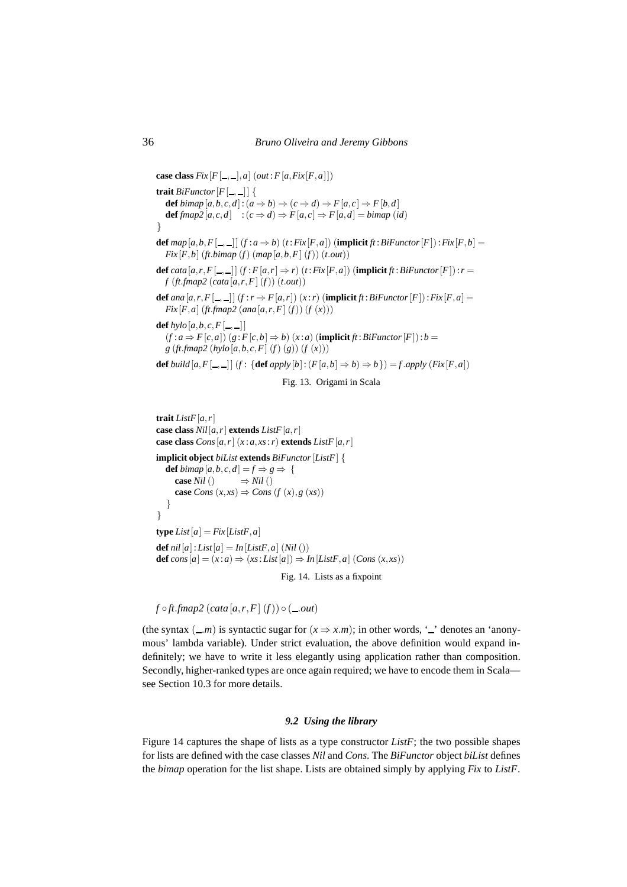**case class**  $Fix[F[\_],\_],a]$  ( $out: F[a,Fix[F,a]])$ **trait**  $BiFunction[F[\_ \_ ]]$  { **def** *bimap*[ $a, b, c, d$ ] :  $(a \Rightarrow b) \Rightarrow (c \Rightarrow d) \Rightarrow F[a, c] \Rightarrow F[b, d]$ **def**  $\text{fmap2}[a, c, d]$  :  $(c \Rightarrow d) \Rightarrow F[a, c] \Rightarrow F[a, d] = \text{bimap}(id)$ } **def**  $map[a,b,F[$ <sub>-1</sub> $]$  $(f : a \Rightarrow b)$  ( $t : Fix[F,a]$ ) (**implicit** $ft : Bifunctor[F]$ ): $Fix[F,b]$  = *Fix*[*F*,*b*] (*ft*.*bimap* (*f*) (*map*[*a*,*b*,*F*] (*f*)) (*t*.*out*)) **def**  $\text{cata}[a, r, F[\_,\_]]$   $(f: F[a, r] \Rightarrow r)$   $(t: \text{Fix}[F, a])$  (implicit  $ft: \text{BiFunction}[F])$ :  $r =$ *f* (*ft*.*fmap2* (*cata*[*a*,*r*,*F*] (*f*)) (*t*.*out*)) **def** ana[ $a, r, F$ [ $\Box, \Box$ ] ( $f : r \Rightarrow F$ [ $a, r$ ]) ( $x : r$ ) (**implicit**  $ft : B \in F$  *and*  $F$ ]):  $Fix$  [ $F, a$ ] = *Fix* $[F, a]$  (*ft.fmap2* (*ana* $[a, r, F]$  (*f*)) (*f* (*x*))) **def**  $h y l o [a, b, c, F[-,]]$  $(f : a \Rightarrow F[c, a])$   $(g : F[c, b] \Rightarrow b)$   $(x : a)$  (**implicit**  $ft : B \in F(\{F\}) : b =$ *g* (*ft*.*fmap2* (*hylo*[*a*,*b*,*c*,*F*] (*f*) (*g*)) (*f* (*x*))) **def** build  $[a, F[-, -]]$   $(f: \{\text{def apply}[b] : (F[a, b] \Rightarrow b) \Rightarrow b\}) = f.\text{apply}(Fix[F, a])$ 

Fig. 13. Origami in Scala

```
trait ListF[a,r]case class Nil[a,r] extends ListF[a,r]case class Cons[a,r](x:a, xs:r) extends ListF[a,r]implicit object biList extends BiFunctor[ListF] {
  def bimap [a, b, c, d] = f \Rightarrow g \Rightarrow {
     case Nil () \Rightarrow Nil ()
     case Cons (x, xs) \Rightarrow Cons (f(x), g(xs))}
}
type List[a] = Fix[ListF,a]def nil[a] : List[a] = In[ListF, a] (Nil ())
def cons[a] = (x : a) \Rightarrow (xs : List[a]) \Rightarrow In[ListF, a] (Cons (x, xs))
```
Fig. 14. Lists as a fixpoint

```
f \circ ft.fmap2 (cata[a, r, F] (f)] \circ (..out)
```
(the syntax  $(\underline{\hspace{0.3cm}}, m)$  is syntactic sugar for  $(x \Rightarrow x.m)$ ; in other words, ' $\underline{\hspace{0.3cm}}$ ' denotes an 'anonymous' lambda variable). Under strict evaluation, the above definition would expand indefinitely; we have to write it less elegantly using application rather than composition. Secondly, higher-ranked types are once again required; we have to encode them in Scala see Section 10.3 for more details.

# *9.2 Using the library*

Figure 14 captures the shape of lists as a type constructor *ListF*; the two possible shapes for lists are defined with the case classes *Nil* and *Cons*. The *BiFunctor* object *biList* defines the *bimap* operation for the list shape. Lists are obtained simply by applying *Fix* to *ListF*.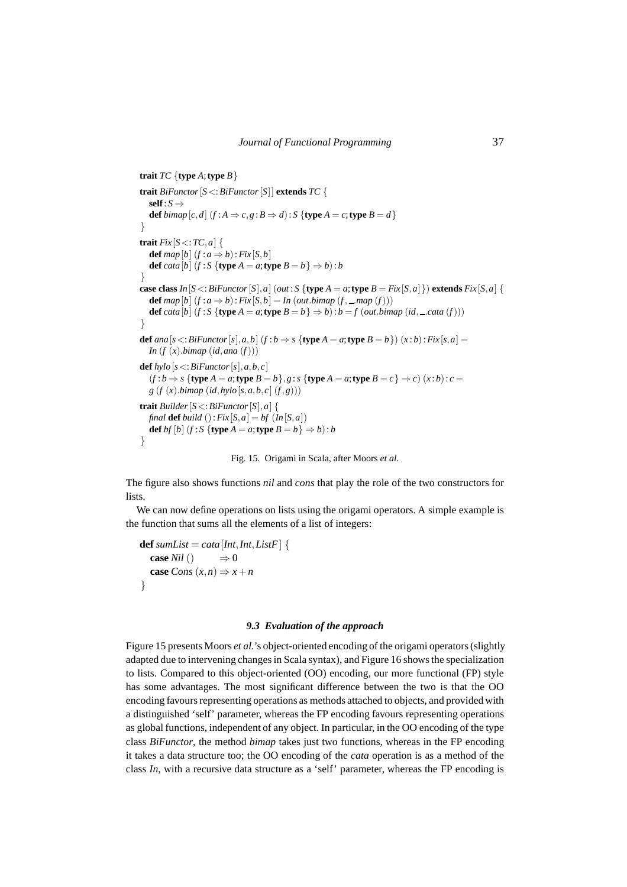```
trait TC {type A;type B }
trait BiFunctor[S<:BiFunctor[S]] extends TC {
    self: S \Rightarrowdef bimap [c,d] (f : A \Rightarrow c, g : B \Rightarrow d) : S {type A = c;type B = d}
}
trait Fix [S < : TC, a] {
    def map[b] (f : a \Rightarrow b) : Fix[S, b]def \text{cata}[b] (f : S \{ \text{type } A = a; \text{type } B = b \} \Rightarrow b) : b}
case class In [S \leq: Bifunctor [S], a] (out: S \ {type A = a; type B = Fix [S, a] }) extends Fix [S, a] {
    def map [b] (f : a \Rightarrow b) : Fix[S, b] = In (out. bimap (f, \dots, map (f)))def \text{cata}[b] (f : S \{ \text{type } A = a; \text{type } B = b \} \Rightarrow b) : b = f(\text{out}.\text{bimap } (id, \text{...} \text{cata } (f)))}
def ana [s < iB BiFunctor [s], a, b \mid (f : b \Rightarrow s {type A = a; type B = b}\mid (x : b) : Fix [s, a] =In (f (x).bimap (id,ana (f)))
def h y l o [s \lt: : B \in \mathbb{R} \times \mathbb{R} \times \mathbb{R} \times \mathbb{R} \times \mathbb{R} \times \mathbb{R} \times \mathbb{R} \times \mathbb{R} \times \mathbb{R} \times \mathbb{R} \times \mathbb{R} \times \mathbb{R} \times \mathbb{R} \times \mathbb{R} \times \mathbb{R} \times \mathbb{R} \times \mathbb{R} \times \mathbb{R} \times \mathbb{R} \times \mathbb{R} \times \mathbb{R} \times \mathbb{R} \times \mathbb{R} \times \mathbb{R} \times \mathbb{R} \times \(f:b \Rightarrow s \{type A = a; type B = b\}, g:s \{type A = a; type B = c\} \Rightarrow c) (x:b): c =g (f (x).bimap (id,hylo[s,a,b,c] (f ,g)))
trait Builder [S \leq : B \infty]functor [S], a] {
    final def build (): Fix [S, a] = bf (In [S, a])
    def bf [b] (f : S \type A = a; type B = b \} \Rightarrow b) : b}
```
#### Fig. 15. Origami in Scala, after Moors *et al.*

The figure also shows functions *nil* and *cons* that play the role of the two constructors for lists.

We can now define operations on lists using the origami operators. A simple example is the function that sums all the elements of a list of integers:

**def** *sumList* = *cata* [*Int*, *Int*, *ListF*] { **case** *Nil* ()  $\Rightarrow$  0 **case**  $Cons(x, n) \Rightarrow x+n$ }

#### *9.3 Evaluation of the approach*

Figure 15 presents Moors *et al.*'s object-oriented encoding of the origami operators (slightly adapted due to intervening changes in Scala syntax), and Figure 16 shows the specialization to lists. Compared to this object-oriented (OO) encoding, our more functional (FP) style has some advantages. The most significant difference between the two is that the OO encoding favours representing operations as methods attached to objects, and provided with a distinguished 'self' parameter, whereas the FP encoding favours representing operations as global functions, independent of any object. In particular, in the OO encoding of the type class *BiFunctor*, the method *bimap* takes just two functions, whereas in the FP encoding it takes a data structure too; the OO encoding of the *cata* operation is as a method of the class *In*, with a recursive data structure as a 'self' parameter, whereas the FP encoding is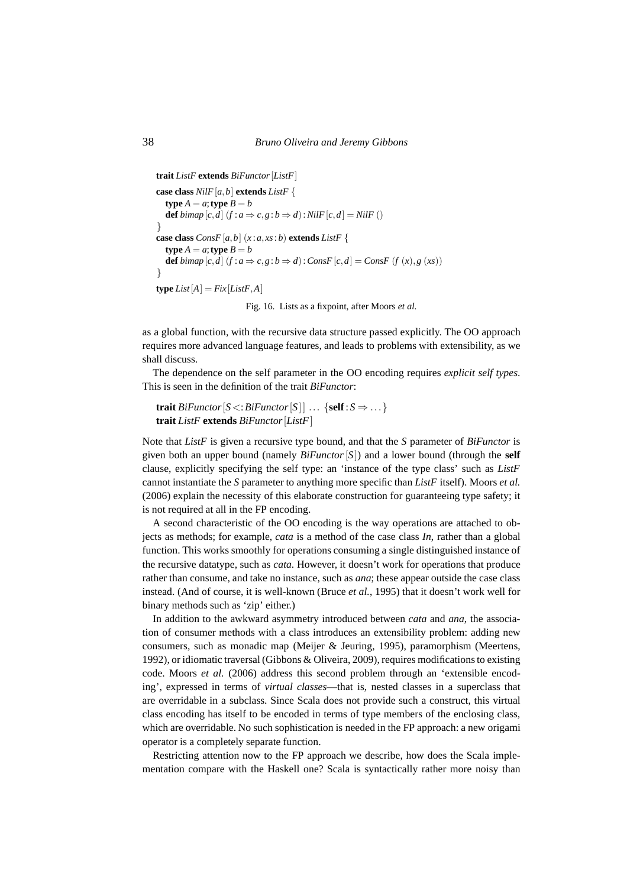38 *Bruno Oliveira and Jeremy Gibbons*

**trait** *ListF* **extends** *BiFunctor*[*ListF*]

```
case class NilF[a,b] extends ListF {
  type A = a; type B = bdef bimap[c,d] (f : a \Rightarrow c,g : b \Rightarrow d):NilF[c,d] = NilF()
}
case class ConsF[a,b] (x : a, xs : b) extends ListF {
  type A = a; type B = bdef bimap[c,d] (f : a \Rightarrow c,g : b \Rightarrow d): ConsF[c,d] = ConsF(f(x),g(x))}
type List[A] = Fix[ListF,A]
```
Fig. 16. Lists as a fixpoint, after Moors *et al.*

as a global function, with the recursive data structure passed explicitly. The OO approach requires more advanced language features, and leads to problems with extensibility, as we shall discuss.

The dependence on the self parameter in the OO encoding requires *explicit self types*. This is seen in the definition of the trait *BiFunctor*:

```
trait BiFunction[S < :BiFunction[S]] \dots \{self : S \Rightarrow \dots\}trait ListF extends BiFunctor[ListF]
```
Note that *ListF* is given a recursive type bound, and that the *S* parameter of *BiFunctor* is given both an upper bound (namely *BiFunctor*[*S*]) and a lower bound (through the **self** clause, explicitly specifying the self type: an 'instance of the type class' such as *ListF* cannot instantiate the *S* parameter to anything more specific than *ListF* itself). Moors *et al.* (2006) explain the necessity of this elaborate construction for guaranteeing type safety; it is not required at all in the FP encoding.

A second characteristic of the OO encoding is the way operations are attached to objects as methods; for example, *cata* is a method of the case class *In*, rather than a global function. This works smoothly for operations consuming a single distinguished instance of the recursive datatype, such as *cata*. However, it doesn't work for operations that produce rather than consume, and take no instance, such as *ana*; these appear outside the case class instead. (And of course, it is well-known (Bruce *et al.*, 1995) that it doesn't work well for binary methods such as 'zip' either.)

In addition to the awkward asymmetry introduced between *cata* and *ana*, the association of consumer methods with a class introduces an extensibility problem: adding new consumers, such as monadic map (Meijer & Jeuring, 1995), paramorphism (Meertens, 1992), or idiomatic traversal (Gibbons & Oliveira, 2009), requires modifications to existing code. Moors *et al.* (2006) address this second problem through an 'extensible encoding', expressed in terms of *virtual classes*—that is, nested classes in a superclass that are overridable in a subclass. Since Scala does not provide such a construct, this virtual class encoding has itself to be encoded in terms of type members of the enclosing class, which are overridable. No such sophistication is needed in the FP approach: a new origami operator is a completely separate function.

Restricting attention now to the FP approach we describe, how does the Scala implementation compare with the Haskell one? Scala is syntactically rather more noisy than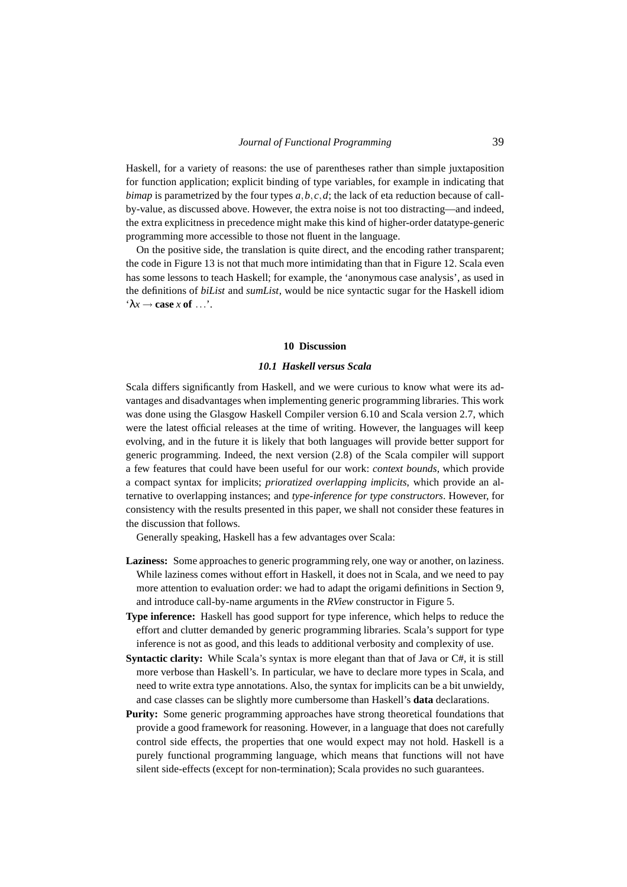Haskell, for a variety of reasons: the use of parentheses rather than simple juxtaposition for function application; explicit binding of type variables, for example in indicating that *bimap* is parametrized by the four types *a*,*b*,*c*,*d*; the lack of eta reduction because of callby-value, as discussed above. However, the extra noise is not too distracting—and indeed, the extra explicitness in precedence might make this kind of higher-order datatype-generic programming more accessible to those not fluent in the language.

On the positive side, the translation is quite direct, and the encoding rather transparent; the code in Figure 13 is not that much more intimidating than that in Figure 12. Scala even has some lessons to teach Haskell; for example, the 'anonymous case analysis', as used in the definitions of *biList* and *sumList*, would be nice syntactic sugar for the Haskell idiom  $'\lambda x \rightarrow \case x \text{ of } ...'.$ 

#### **10 Discussion**

### *10.1 Haskell versus Scala*

Scala differs significantly from Haskell, and we were curious to know what were its advantages and disadvantages when implementing generic programming libraries. This work was done using the Glasgow Haskell Compiler version 6.10 and Scala version 2.7, which were the latest official releases at the time of writing. However, the languages will keep evolving, and in the future it is likely that both languages will provide better support for generic programming. Indeed, the next version (2.8) of the Scala compiler will support a few features that could have been useful for our work: *context bounds*, which provide a compact syntax for implicits; *prioratized overlapping implicits*, which provide an alternative to overlapping instances; and *type-inference for type constructors*. However, for consistency with the results presented in this paper, we shall not consider these features in the discussion that follows.

Generally speaking, Haskell has a few advantages over Scala:

- **Laziness:** Some approaches to generic programming rely, one way or another, on laziness. While laziness comes without effort in Haskell, it does not in Scala, and we need to pay more attention to evaluation order: we had to adapt the origami definitions in Section 9, and introduce call-by-name arguments in the *RView* constructor in Figure 5.
- **Type inference:** Haskell has good support for type inference, which helps to reduce the effort and clutter demanded by generic programming libraries. Scala's support for type inference is not as good, and this leads to additional verbosity and complexity of use.
- **Syntactic clarity:** While Scala's syntax is more elegant than that of Java or C#, it is still more verbose than Haskell's. In particular, we have to declare more types in Scala, and need to write extra type annotations. Also, the syntax for implicits can be a bit unwieldy, and case classes can be slightly more cumbersome than Haskell's **data** declarations.
- **Purity:** Some generic programming approaches have strong theoretical foundations that provide a good framework for reasoning. However, in a language that does not carefully control side effects, the properties that one would expect may not hold. Haskell is a purely functional programming language, which means that functions will not have silent side-effects (except for non-termination); Scala provides no such guarantees.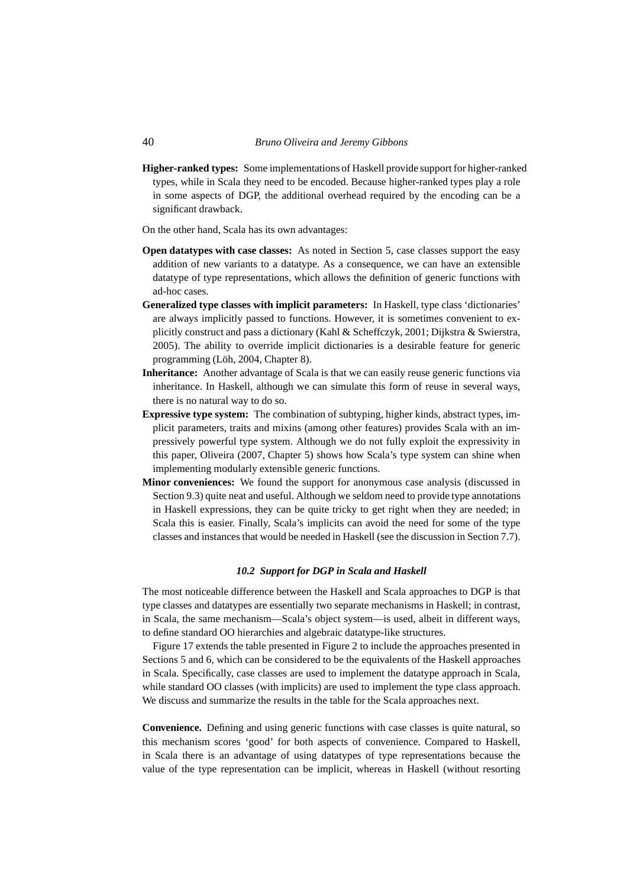**Higher-ranked types:** Some implementations of Haskell provide support for higher-ranked types, while in Scala they need to be encoded. Because higher-ranked types play a role in some aspects of DGP, the additional overhead required by the encoding can be a significant drawback.

On the other hand, Scala has its own advantages:

- **Open datatypes with case classes:** As noted in Section 5, case classes support the easy addition of new variants to a datatype. As a consequence, we can have an extensible datatype of type representations, which allows the definition of generic functions with ad-hoc cases.
- **Generalized type classes with implicit parameters:** In Haskell, type class 'dictionaries' are always implicitly passed to functions. However, it is sometimes convenient to explicitly construct and pass a dictionary (Kahl & Scheffczyk, 2001; Dijkstra & Swierstra, 2005). The ability to override implicit dictionaries is a desirable feature for generic programming (Löh, 2004, Chapter 8).
- **Inheritance:** Another advantage of Scala is that we can easily reuse generic functions via inheritance. In Haskell, although we can simulate this form of reuse in several ways, there is no natural way to do so.
- **Expressive type system:** The combination of subtyping, higher kinds, abstract types, implicit parameters, traits and mixins (among other features) provides Scala with an impressively powerful type system. Although we do not fully exploit the expressivity in this paper, Oliveira (2007, Chapter 5) shows how Scala's type system can shine when implementing modularly extensible generic functions.
- **Minor conveniences:** We found the support for anonymous case analysis (discussed in Section 9.3) quite neat and useful. Although we seldom need to provide type annotations in Haskell expressions, they can be quite tricky to get right when they are needed; in Scala this is easier. Finally, Scala's implicits can avoid the need for some of the type classes and instances that would be needed in Haskell (see the discussion in Section 7.7).

# *10.2 Support for DGP in Scala and Haskell*

The most noticeable difference between the Haskell and Scala approaches to DGP is that type classes and datatypes are essentially two separate mechanisms in Haskell; in contrast, in Scala, the same mechanism—Scala's object system—is used, albeit in different ways, to define standard OO hierarchies and algebraic datatype-like structures.

Figure 17 extends the table presented in Figure 2 to include the approaches presented in Sections 5 and 6, which can be considered to be the equivalents of the Haskell approaches in Scala. Specifically, case classes are used to implement the datatype approach in Scala, while standard OO classes (with implicits) are used to implement the type class approach. We discuss and summarize the results in the table for the Scala approaches next.

**Convenience.** Defining and using generic functions with case classes is quite natural, so this mechanism scores 'good' for both aspects of convenience. Compared to Haskell, in Scala there is an advantage of using datatypes of type representations because the value of the type representation can be implicit, whereas in Haskell (without resorting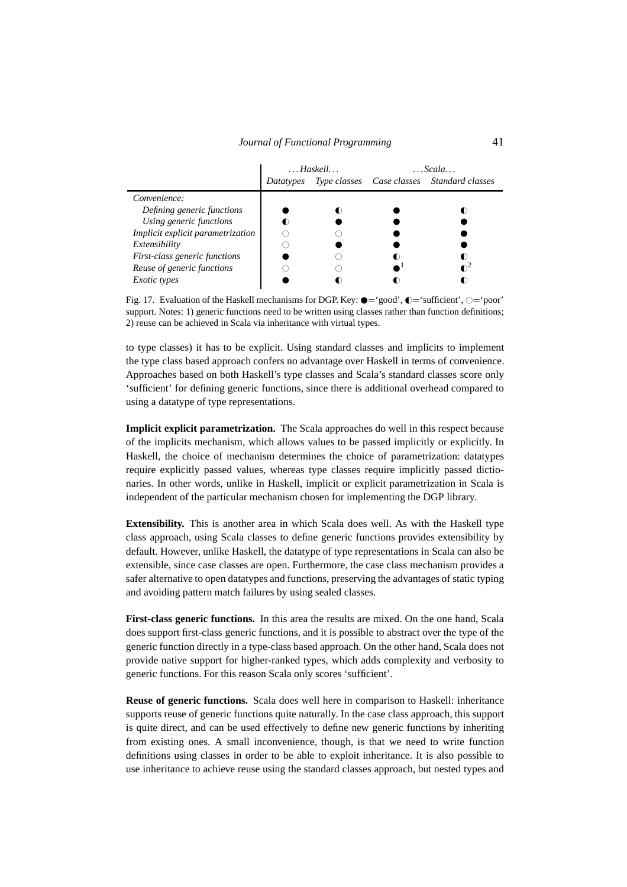|                                   | $\ldots$ Haskell |  | $\ldots$ Scala |                                                      |
|-----------------------------------|------------------|--|----------------|------------------------------------------------------|
|                                   |                  |  |                | Datatypes Type classes Case classes Standard classes |
| Convenience:                      |                  |  |                |                                                      |
| Defining generic functions        |                  |  |                |                                                      |
| Using generic functions           |                  |  |                |                                                      |
| Implicit explicit parametrization |                  |  |                |                                                      |
| Extensibility                     |                  |  |                |                                                      |
| First-class generic functions     |                  |  |                |                                                      |
| Reuse of generic functions        |                  |  |                |                                                      |
| <i>Exotic types</i>               |                  |  |                |                                                      |

Fig. 17. Evaluation of the Haskell mechanisms for DGP. Key:  $\bullet = 'good', \bullet = 'sufficient', \circ = 'poor'$ support. Notes: 1) generic functions need to be written using classes rather than function definitions; 2) reuse can be achieved in Scala via inheritance with virtual types.

to type classes) it has to be explicit. Using standard classes and implicits to implement the type class based approach confers no advantage over Haskell in terms of convenience. Approaches based on both Haskell's type classes and Scala's standard classes score only 'sufficient' for defining generic functions, since there is additional overhead compared to using a datatype of type representations.

**Implicit explicit parametrization.** The Scala approaches do well in this respect because of the implicits mechanism, which allows values to be passed implicitly or explicitly. In Haskell, the choice of mechanism determines the choice of parametrization: datatypes require explicitly passed values, whereas type classes require implicitly passed dictionaries. In other words, unlike in Haskell, implicit or explicit parametrization in Scala is independent of the particular mechanism chosen for implementing the DGP library.

**Extensibility.** This is another area in which Scala does well. As with the Haskell type class approach, using Scala classes to define generic functions provides extensibility by default. However, unlike Haskell, the datatype of type representations in Scala can also be extensible, since case classes are open. Furthermore, the case class mechanism provides a safer alternative to open datatypes and functions, preserving the advantages of static typing and avoiding pattern match failures by using sealed classes.

**First-class generic functions.** In this area the results are mixed. On the one hand, Scala does support first-class generic functions, and it is possible to abstract over the type of the generic function directly in a type-class based approach. On the other hand, Scala does not provide native support for higher-ranked types, which adds complexity and verbosity to generic functions. For this reason Scala only scores 'sufficient'.

**Reuse of generic functions.** Scala does well here in comparison to Haskell: inheritance supports reuse of generic functions quite naturally. In the case class approach, this support is quite direct, and can be used effectively to define new generic functions by inheriting from existing ones. A small inconvenience, though, is that we need to write function definitions using classes in order to be able to exploit inheritance. It is also possible to use inheritance to achieve reuse using the standard classes approach, but nested types and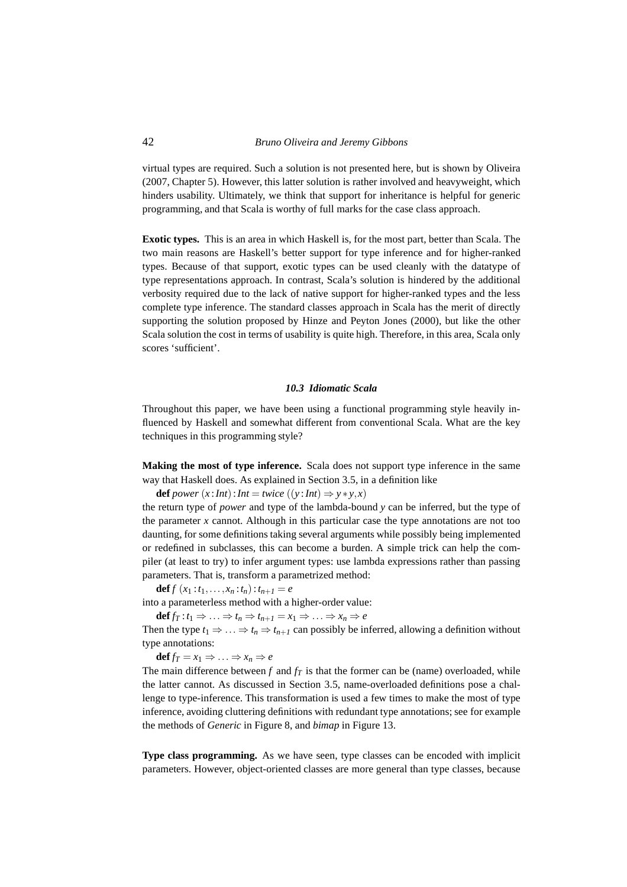virtual types are required. Such a solution is not presented here, but is shown by Oliveira (2007, Chapter 5). However, this latter solution is rather involved and heavyweight, which hinders usability. Ultimately, we think that support for inheritance is helpful for generic programming, and that Scala is worthy of full marks for the case class approach.

**Exotic types.** This is an area in which Haskell is, for the most part, better than Scala. The two main reasons are Haskell's better support for type inference and for higher-ranked types. Because of that support, exotic types can be used cleanly with the datatype of type representations approach. In contrast, Scala's solution is hindered by the additional verbosity required due to the lack of native support for higher-ranked types and the less complete type inference. The standard classes approach in Scala has the merit of directly supporting the solution proposed by Hinze and Peyton Jones (2000), but like the other Scala solution the cost in terms of usability is quite high. Therefore, in this area, Scala only scores 'sufficient'.

# *10.3 Idiomatic Scala*

Throughout this paper, we have been using a functional programming style heavily influenced by Haskell and somewhat different from conventional Scala. What are the key techniques in this programming style?

**Making the most of type inference.** Scala does not support type inference in the same way that Haskell does. As explained in Section 3.5, in a definition like

**def** *power*  $(x : Int) : Int = twice ((y : Int) \Rightarrow y * y, x)$ 

the return type of *power* and type of the lambda-bound *y* can be inferred, but the type of the parameter  $x$  cannot. Although in this particular case the type annotations are not too daunting, for some definitions taking several arguments while possibly being implemented or redefined in subclasses, this can become a burden. A simple trick can help the compiler (at least to try) to infer argument types: use lambda expressions rather than passing parameters. That is, transform a parametrized method:

**def**  $f(x_1 : t_1, \ldots, x_n : t_n) : t_{n+1} = e$ 

into a parameterless method with a higher-order value:

**def**  $f_T: t_1 \Rightarrow \ldots \Rightarrow t_n \Rightarrow t_{n+1} = x_1 \Rightarrow \ldots \Rightarrow x_n \Rightarrow e$ 

Then the type  $t_1 \Rightarrow \ldots \Rightarrow t_n \Rightarrow t_{n+1}$  can possibly be inferred, allowing a definition without type annotations:

**def**  $f_T = x_1 \Rightarrow \ldots \Rightarrow x_n \Rightarrow e$ 

The main difference between  $f$  and  $f_T$  is that the former can be (name) overloaded, while the latter cannot. As discussed in Section 3.5, name-overloaded definitions pose a challenge to type-inference. This transformation is used a few times to make the most of type inference, avoiding cluttering definitions with redundant type annotations; see for example the methods of *Generic* in Figure 8, and *bimap* in Figure 13.

**Type class programming.** As we have seen, type classes can be encoded with implicit parameters. However, object-oriented classes are more general than type classes, because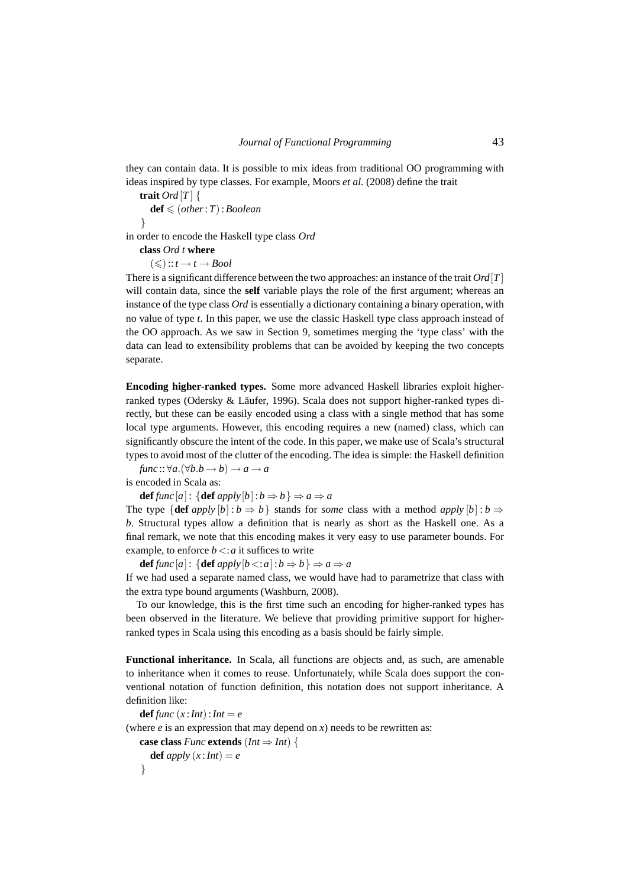they can contain data. It is possible to mix ideas from traditional OO programming with ideas inspired by type classes. For example, Moors *et al.* (2008) define the trait

**trait** *Ord* [*T* ] { **def** 6 (*other*: *T*):*Boolean* }

in order to encode the Haskell type class *Ord*

**class** *Ord t* **where**

 $(\leqslant): t \rightarrow t \rightarrow \text{Bool}$ 

There is a significant difference between the two approaches: an instance of the trait *Ord*[*T* ] will contain data, since the **self** variable plays the role of the first argument; whereas an instance of the type class *Ord* is essentially a dictionary containing a binary operation, with no value of type *t*. In this paper, we use the classic Haskell type class approach instead of the OO approach. As we saw in Section 9, sometimes merging the 'type class' with the data can lead to extensibility problems that can be avoided by keeping the two concepts separate.

**Encoding higher-ranked types.** Some more advanced Haskell libraries exploit higherranked types (Odersky & Läufer, 1996). Scala does not support higher-ranked types directly, but these can be easily encoded using a class with a single method that has some local type arguments. However, this encoding requires a new (named) class, which can significantly obscure the intent of the code. In this paper, we make use of Scala's structural types to avoid most of the clutter of the encoding. The idea is simple: the Haskell definition

*func* ::  $\forall a. (\forall b.b \rightarrow b) \rightarrow a \rightarrow a$ is encoded in Scala as:

**def**  $func[a]$  :  $\{def apply[b] : b \Rightarrow b\} \Rightarrow a \Rightarrow a$ 

The type  $\{def apply [b] : b \Rightarrow b\}$  stands for *some* class with a method *apply*  $[b] : b \Rightarrow$ *b*. Structural types allow a definition that is nearly as short as the Haskell one. As a final remark, we note that this encoding makes it very easy to use parameter bounds. For example, to enforce  $b \le a$  it suffices to write

**def**  $func[a]$  :  $\{def apply[b < : a] : b \Rightarrow b\} \Rightarrow a \Rightarrow a$ 

If we had used a separate named class, we would have had to parametrize that class with the extra type bound arguments (Washburn, 2008).

To our knowledge, this is the first time such an encoding for higher-ranked types has been observed in the literature. We believe that providing primitive support for higherranked types in Scala using this encoding as a basis should be fairly simple.

**Functional inheritance.** In Scala, all functions are objects and, as such, are amenable to inheritance when it comes to reuse. Unfortunately, while Scala does support the conventional notation of function definition, this notation does not support inheritance. A definition like:

**def**  $func(x:Int):Int = e$ 

(where  $e$  is an expression that may depend on  $x$ ) needs to be rewritten as:

**case class** *Func* **extends** ( $Int \Rightarrow Int$ ) {

**def** *apply*  $(x: Int) = e$ }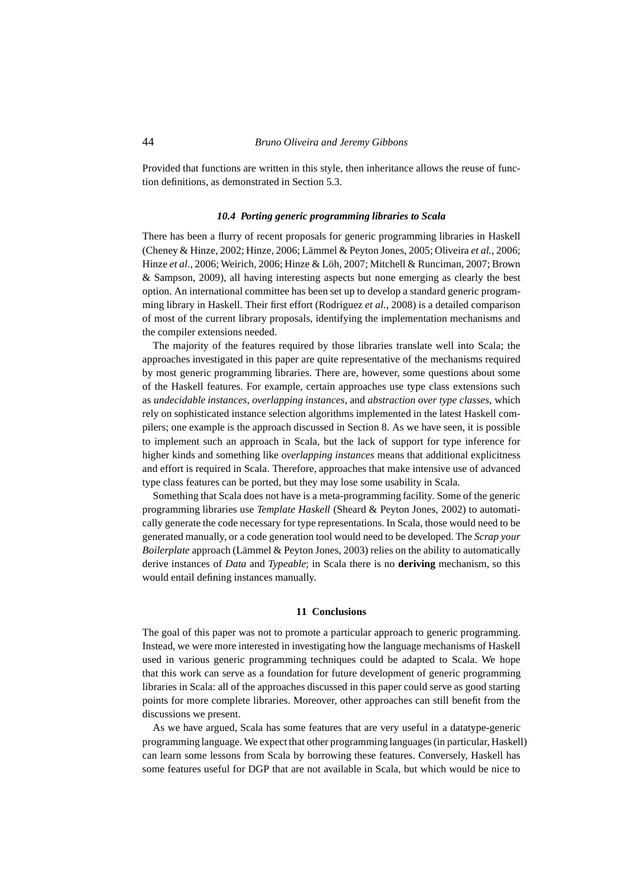Provided that functions are written in this style, then inheritance allows the reuse of function definitions, as demonstrated in Section 5.3.

# *10.4 Porting generic programming libraries to Scala*

There has been a flurry of recent proposals for generic programming libraries in Haskell (Cheney & Hinze, 2002; Hinze, 2006; L¨ammel & Peyton Jones, 2005; Oliveira *et al.*, 2006; Hinze *et al.*, 2006; Weirich, 2006; Hinze & Löh, 2007; Mitchell & Runciman, 2007; Brown & Sampson, 2009), all having interesting aspects but none emerging as clearly the best option. An international committee has been set up to develop a standard generic programming library in Haskell. Their first effort (Rodriguez *et al.*, 2008) is a detailed comparison of most of the current library proposals, identifying the implementation mechanisms and the compiler extensions needed.

The majority of the features required by those libraries translate well into Scala; the approaches investigated in this paper are quite representative of the mechanisms required by most generic programming libraries. There are, however, some questions about some of the Haskell features. For example, certain approaches use type class extensions such as *undecidable instances*, *overlapping instances*, and *abstraction over type classes*, which rely on sophisticated instance selection algorithms implemented in the latest Haskell compilers; one example is the approach discussed in Section 8. As we have seen, it is possible to implement such an approach in Scala, but the lack of support for type inference for higher kinds and something like *overlapping instances* means that additional explicitness and effort is required in Scala. Therefore, approaches that make intensive use of advanced type class features can be ported, but they may lose some usability in Scala.

Something that Scala does not have is a meta-programming facility. Some of the generic programming libraries use *Template Haskell* (Sheard & Peyton Jones, 2002) to automatically generate the code necessary for type representations. In Scala, those would need to be generated manually, or a code generation tool would need to be developed. The *Scrap your Boilerplate* approach (Lämmel & Peyton Jones, 2003) relies on the ability to automatically derive instances of *Data* and *Typeable*; in Scala there is no **deriving** mechanism, so this would entail defining instances manually.

# **11 Conclusions**

The goal of this paper was not to promote a particular approach to generic programming. Instead, we were more interested in investigating how the language mechanisms of Haskell used in various generic programming techniques could be adapted to Scala. We hope that this work can serve as a foundation for future development of generic programming libraries in Scala: all of the approaches discussed in this paper could serve as good starting points for more complete libraries. Moreover, other approaches can still benefit from the discussions we present.

As we have argued, Scala has some features that are very useful in a datatype-generic programming language. We expect that other programming languages (in particular, Haskell) can learn some lessons from Scala by borrowing these features. Conversely, Haskell has some features useful for DGP that are not available in Scala, but which would be nice to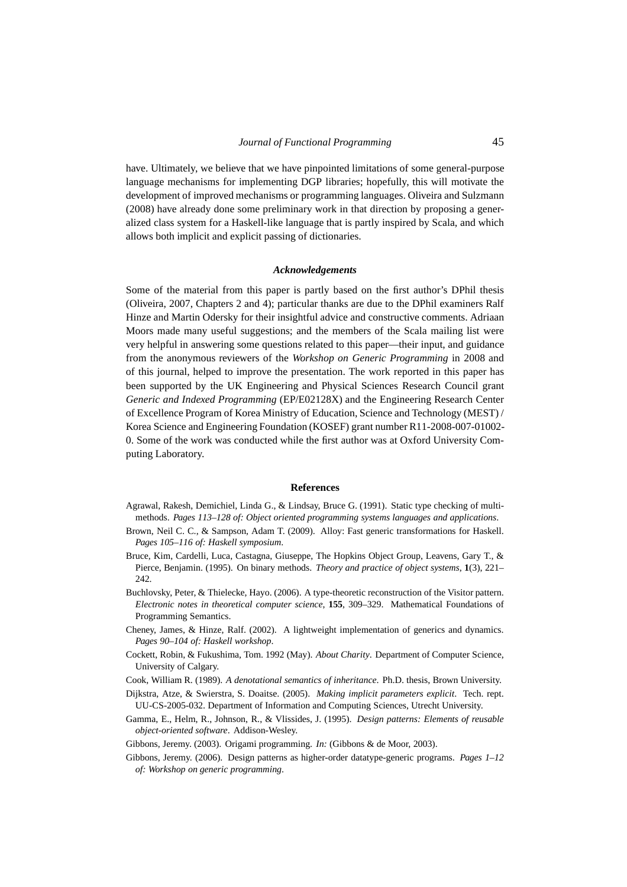have. Ultimately, we believe that we have pinpointed limitations of some general-purpose language mechanisms for implementing DGP libraries; hopefully, this will motivate the development of improved mechanisms or programming languages. Oliveira and Sulzmann (2008) have already done some preliminary work in that direction by proposing a generalized class system for a Haskell-like language that is partly inspired by Scala, and which allows both implicit and explicit passing of dictionaries.

# *Acknowledgements*

Some of the material from this paper is partly based on the first author's DPhil thesis (Oliveira, 2007, Chapters 2 and 4); particular thanks are due to the DPhil examiners Ralf Hinze and Martin Odersky for their insightful advice and constructive comments. Adriaan Moors made many useful suggestions; and the members of the Scala mailing list were very helpful in answering some questions related to this paper—their input, and guidance from the anonymous reviewers of the *Workshop on Generic Programming* in 2008 and of this journal, helped to improve the presentation. The work reported in this paper has been supported by the UK Engineering and Physical Sciences Research Council grant *Generic and Indexed Programming* (EP/E02128X) and the Engineering Research Center of Excellence Program of Korea Ministry of Education, Science and Technology (MEST) / Korea Science and Engineering Foundation (KOSEF) grant number R11-2008-007-01002- 0. Some of the work was conducted while the first author was at Oxford University Computing Laboratory.

#### **References**

- Agrawal, Rakesh, Demichiel, Linda G., & Lindsay, Bruce G. (1991). Static type checking of multimethods. *Pages 113–128 of: Object oriented programming systems languages and applications*.
- Brown, Neil C. C., & Sampson, Adam T. (2009). Alloy: Fast generic transformations for Haskell. *Pages 105–116 of: Haskell symposium*.
- Bruce, Kim, Cardelli, Luca, Castagna, Giuseppe, The Hopkins Object Group, Leavens, Gary T., & Pierce, Benjamin. (1995). On binary methods. *Theory and practice of object systems*, **1**(3), 221– 242.
- Buchlovsky, Peter, & Thielecke, Hayo. (2006). A type-theoretic reconstruction of the Visitor pattern. *Electronic notes in theoretical computer science*, **155**, 309–329. Mathematical Foundations of Programming Semantics.
- Cheney, James, & Hinze, Ralf. (2002). A lightweight implementation of generics and dynamics. *Pages 90–104 of: Haskell workshop*.
- Cockett, Robin, & Fukushima, Tom. 1992 (May). *About Charity*. Department of Computer Science, University of Calgary.
- Cook, William R. (1989). *A denotational semantics of inheritance*. Ph.D. thesis, Brown University.
- Dijkstra, Atze, & Swierstra, S. Doaitse. (2005). *Making implicit parameters explicit*. Tech. rept. UU-CS-2005-032. Department of Information and Computing Sciences, Utrecht University.
- Gamma, E., Helm, R., Johnson, R., & Vlissides, J. (1995). *Design patterns: Elements of reusable object-oriented software*. Addison-Wesley.
- Gibbons, Jeremy. (2003). Origami programming. *In:* (Gibbons & de Moor, 2003).
- Gibbons, Jeremy. (2006). Design patterns as higher-order datatype-generic programs. *Pages 1–12 of: Workshop on generic programming*.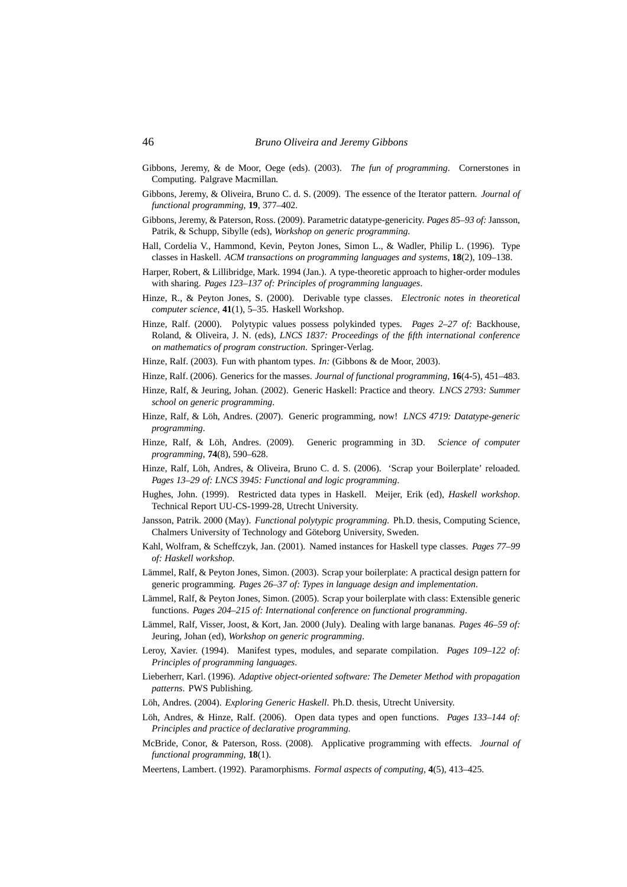- Gibbons, Jeremy, & de Moor, Oege (eds). (2003). *The fun of programming*. Cornerstones in Computing. Palgrave Macmillan.
- Gibbons, Jeremy, & Oliveira, Bruno C. d. S. (2009). The essence of the Iterator pattern. *Journal of functional programming*, **19**, 377–402.
- Gibbons, Jeremy, & Paterson, Ross. (2009). Parametric datatype-genericity. *Pages 85–93 of:*Jansson, Patrik, & Schupp, Sibylle (eds), *Workshop on generic programming*.
- Hall, Cordelia V., Hammond, Kevin, Peyton Jones, Simon L., & Wadler, Philip L. (1996). Type classes in Haskell. *ACM transactions on programming languages and systems*, **18**(2), 109–138.
- Harper, Robert, & Lillibridge, Mark. 1994 (Jan.). A type-theoretic approach to higher-order modules with sharing. *Pages 123–137 of: Principles of programming languages*.
- Hinze, R., & Peyton Jones, S. (2000). Derivable type classes. *Electronic notes in theoretical computer science*, **41**(1), 5–35. Haskell Workshop.
- Hinze, Ralf. (2000). Polytypic values possess polykinded types. *Pages 2–27 of:* Backhouse, Roland, & Oliveira, J. N. (eds), *LNCS 1837: Proceedings of the fifth international conference on mathematics of program construction*. Springer-Verlag.
- Hinze, Ralf. (2003). Fun with phantom types. *In:* (Gibbons & de Moor, 2003).
- Hinze, Ralf. (2006). Generics for the masses. *Journal of functional programming*, **16**(4-5), 451–483.
- Hinze, Ralf, & Jeuring, Johan. (2002). Generic Haskell: Practice and theory. *LNCS 2793: Summer school on generic programming*.
- Hinze, Ralf, & L¨oh, Andres. (2007). Generic programming, now! *LNCS 4719: Datatype-generic programming*.
- Hinze, Ralf, & Löh, Andres. (2009). Generic programming in 3D. *Science of computer programming*, **74**(8), 590–628.
- Hinze, Ralf, Löh, Andres, & Oliveira, Bruno C. d. S. (2006). 'Scrap your Boilerplate' reloaded. *Pages 13–29 of: LNCS 3945: Functional and logic programming*.
- Hughes, John. (1999). Restricted data types in Haskell. Meijer, Erik (ed), *Haskell workshop*. Technical Report UU-CS-1999-28, Utrecht University.
- Jansson, Patrik. 2000 (May). *Functional polytypic programming*. Ph.D. thesis, Computing Science, Chalmers University of Technology and Göteborg University, Sweden.
- Kahl, Wolfram, & Scheffczyk, Jan. (2001). Named instances for Haskell type classes. *Pages 77–99 of: Haskell workshop*.
- Lämmel, Ralf, & Peyton Jones, Simon. (2003). Scrap your boilerplate: A practical design pattern for generic programming. *Pages 26–37 of: Types in language design and implementation*.
- Lämmel, Ralf, & Peyton Jones, Simon. (2005). Scrap your boilerplate with class: Extensible generic functions. *Pages 204–215 of: International conference on functional programming*.
- Lämmel, Ralf, Visser, Joost, & Kort, Jan. 2000 (July). Dealing with large bananas. Pages 46–59 of: Jeuring, Johan (ed), *Workshop on generic programming*.
- Leroy, Xavier. (1994). Manifest types, modules, and separate compilation. *Pages 109–122 of: Principles of programming languages*.
- Lieberherr, Karl. (1996). *Adaptive object-oriented software: The Demeter Method with propagation patterns*. PWS Publishing.
- Löh, Andres. (2004). *Exploring Generic Haskell*. Ph.D. thesis, Utrecht University.
- Löh, Andres, & Hinze, Ralf. (2006). Open data types and open functions. *Pages 133–144 of: Principles and practice of declarative programming*.
- McBride, Conor, & Paterson, Ross. (2008). Applicative programming with effects. *Journal of functional programming*, **18**(1).
- Meertens, Lambert. (1992). Paramorphisms. *Formal aspects of computing*, **4**(5), 413–425.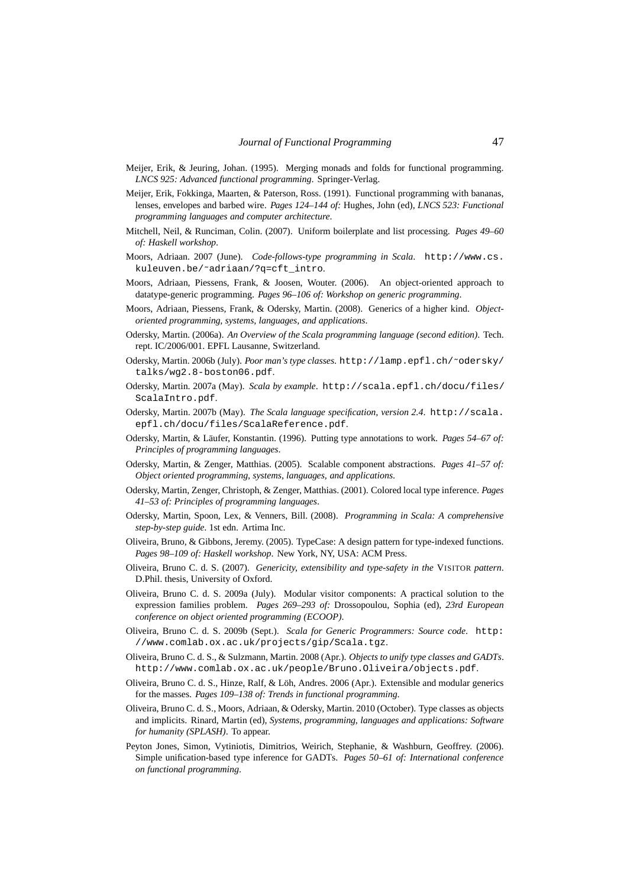- Meijer, Erik, & Jeuring, Johan. (1995). Merging monads and folds for functional programming. *LNCS 925: Advanced functional programming*. Springer-Verlag.
- Meijer, Erik, Fokkinga, Maarten, & Paterson, Ross. (1991). Functional programming with bananas, lenses, envelopes and barbed wire. *Pages 124–144 of:* Hughes, John (ed), *LNCS 523: Functional programming languages and computer architecture*.
- Mitchell, Neil, & Runciman, Colin. (2007). Uniform boilerplate and list processing. *Pages 49–60 of: Haskell workshop*.
- Moors, Adriaan. 2007 (June). *Code-follows-type programming in Scala*. http://www.cs. kuleuven.be/˜adriaan/?q=cft\_intro.
- Moors, Adriaan, Piessens, Frank, & Joosen, Wouter. (2006). An object-oriented approach to datatype-generic programming. *Pages 96–106 of: Workshop on generic programming*.
- Moors, Adriaan, Piessens, Frank, & Odersky, Martin. (2008). Generics of a higher kind. *Objectoriented programming, systems, languages, and applications*.
- Odersky, Martin. (2006a). *An Overview of the Scala programming language (second edition)*. Tech. rept. IC/2006/001. EPFL Lausanne, Switzerland.
- Odersky, Martin. 2006b (July). *Poor man's type classes*. http://lamp.epfl.ch/˜odersky/ talks/wg2.8-boston06.pdf.
- Odersky, Martin. 2007a (May). *Scala by example*. http://scala.epfl.ch/docu/files/ ScalaIntro.pdf.
- Odersky, Martin. 2007b (May). *The Scala language specification, version 2.4*. http://scala. epfl.ch/docu/files/ScalaReference.pdf.
- Odersky, Martin, & Läufer, Konstantin. (1996). Putting type annotations to work. Pages 54–67 of: *Principles of programming languages*.
- Odersky, Martin, & Zenger, Matthias. (2005). Scalable component abstractions. *Pages 41–57 of: Object oriented programming, systems, languages, and applications*.
- Odersky, Martin, Zenger, Christoph, & Zenger, Matthias. (2001). Colored local type inference. *Pages 41–53 of: Principles of programming languages*.
- Odersky, Martin, Spoon, Lex, & Venners, Bill. (2008). *Programming in Scala: A comprehensive step-by-step guide*. 1st edn. Artima Inc.
- Oliveira, Bruno, & Gibbons, Jeremy. (2005). TypeCase: A design pattern for type-indexed functions. *Pages 98–109 of: Haskell workshop*. New York, NY, USA: ACM Press.
- Oliveira, Bruno C. d. S. (2007). *Genericity, extensibility and type-safety in the* VISITOR *pattern*. D.Phil. thesis, University of Oxford.
- Oliveira, Bruno C. d. S. 2009a (July). Modular visitor components: A practical solution to the expression families problem. *Pages 269–293 of:* Drossopoulou, Sophia (ed), *23rd European conference on object oriented programming (ECOOP)*.
- Oliveira, Bruno C. d. S. 2009b (Sept.). *Scala for Generic Programmers: Source code*. http: //www.comlab.ox.ac.uk/projects/gip/Scala.tgz.
- Oliveira, Bruno C. d. S., & Sulzmann, Martin. 2008 (Apr.). *Objects to unify type classes and GADTs*. http://www.comlab.ox.ac.uk/people/Bruno.Oliveira/objects.pdf.
- Oliveira, Bruno C. d. S., Hinze, Ralf, & L¨oh, Andres. 2006 (Apr.). Extensible and modular generics for the masses. *Pages 109–138 of: Trends in functional programming*.
- Oliveira, Bruno C. d. S., Moors, Adriaan, & Odersky, Martin. 2010 (October). Type classes as objects and implicits. Rinard, Martin (ed), *Systems, programming, languages and applications: Software for humanity (SPLASH)*. To appear.
- Peyton Jones, Simon, Vytiniotis, Dimitrios, Weirich, Stephanie, & Washburn, Geoffrey. (2006). Simple unification-based type inference for GADTs. *Pages 50–61 of: International conference on functional programming*.